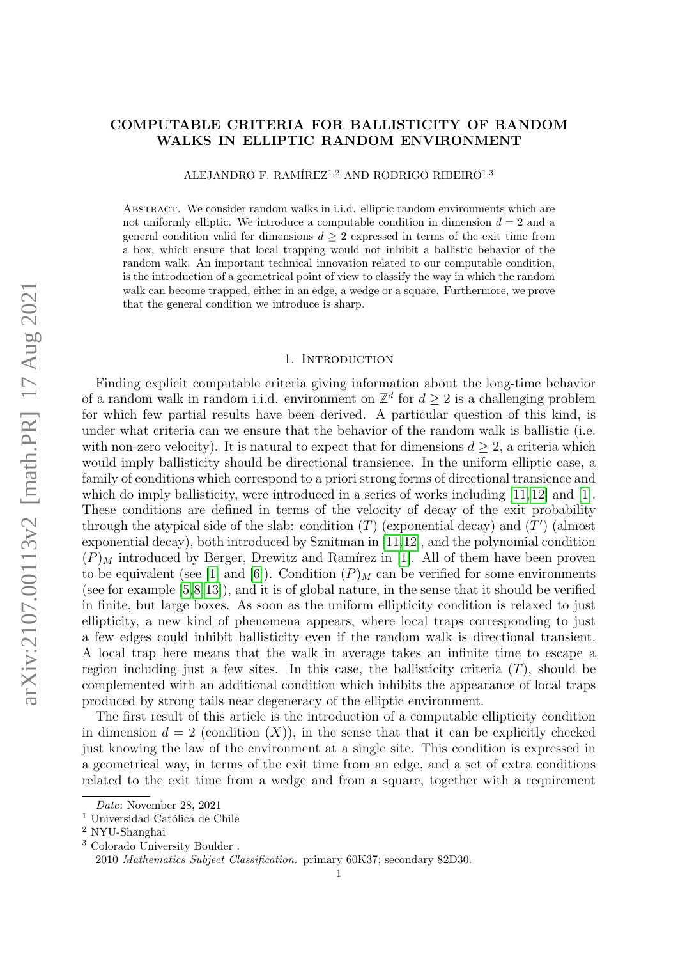## COMPUTABLE CRITERIA FOR BALLISTICITY OF RANDOM WALKS IN ELLIPTIC RANDOM ENVIRONMENT

ALEJANDRO F. RAMÍREZ<sup>1,2</sup> AND RODRIGO RIBEIRO<sup>1,3</sup>

Abstract. We consider random walks in i.i.d. elliptic random environments which are not uniformly elliptic. We introduce a computable condition in dimension  $d = 2$  and a general condition valid for dimensions  $d \geq 2$  expressed in terms of the exit time from a box, which ensure that local trapping would not inhibit a ballistic behavior of the random walk. An important technical innovation related to our computable condition, is the introduction of a geometrical point of view to classify the way in which the random walk can become trapped, either in an edge, a wedge or a square. Furthermore, we prove that the general condition we introduce is sharp.

### 1. INTRODUCTION

Finding explicit computable criteria giving information about the long-time behavior of a random walk in random i.i.d. environment on  $\mathbb{Z}^d$  for  $d \geq 2$  is a challenging problem for which few partial results have been derived. A particular question of this kind, is under what criteria can we ensure that the behavior of the random walk is ballistic (i.e. with non-zero velocity). It is natural to expect that for dimensions  $d \geq 2$ , a criteria which would imply ballisticity should be directional transience. In the uniform elliptic case, a family of conditions which correspond to a priori strong forms of directional transience and which do imply ballisticity, were introduced in a series of works including  $[11, 12]$  $[11, 12]$  $[11, 12]$  and  $[1]$ . These conditions are defined in terms of the velocity of decay of the exit probability through the atypical side of the slab: condition  $(T)$  (exponential decay) and  $(T')$  (almost exponential decay), both introduced by Sznitman in [\[11,](#page-34-0)[12\]](#page-34-1), and the polynomial condition  $(P)_M$  introduced by Berger, Drewitz and Ramírez in [\[1\]](#page-33-0). All of them have been proven to be equivalent (see [\[1\]](#page-33-0) and [\[6\]](#page-33-1)). Condition  $(P)_M$  can be verified for some environments (see for example [\[5,](#page-33-2)[8,](#page-34-2)[13\]](#page-34-3)), and it is of global nature, in the sense that it should be verified in finite, but large boxes. As soon as the uniform ellipticity condition is relaxed to just ellipticity, a new kind of phenomena appears, where local traps corresponding to just a few edges could inhibit ballisticity even if the random walk is directional transient. A local trap here means that the walk in average takes an infinite time to escape a region including just a few sites. In this case, the ballisticity criteria  $(T)$ , should be complemented with an additional condition which inhibits the appearance of local traps produced by strong tails near degeneracy of the elliptic environment.

The first result of this article is the introduction of a computable ellipticity condition in dimension  $d = 2$  (condition  $(X)$ ), in the sense that that it can be explicitly checked just knowing the law of the environment at a single site. This condition is expressed in a geometrical way, in terms of the exit time from an edge, and a set of extra conditions related to the exit time from a wedge and from a square, together with a requirement

Date: November 28, 2021

 $1$  Universidad Católica de Chile

<sup>2</sup> NYU-Shanghai

<sup>3</sup> Colorado University Boulder .

<sup>2010</sup> Mathematics Subject Classification. primary 60K37; secondary 82D30.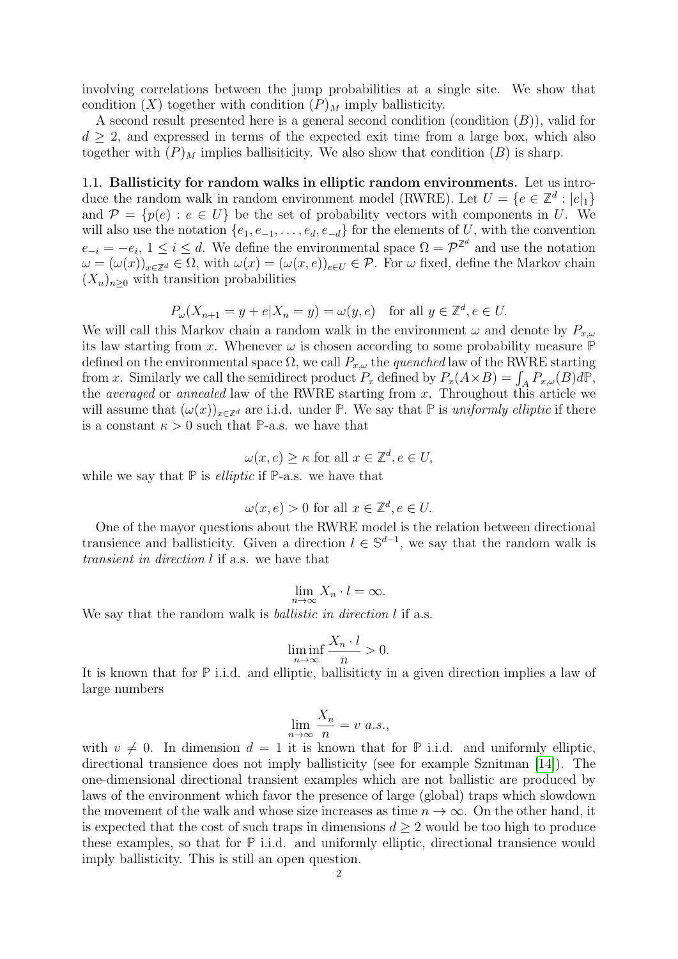involving correlations between the jump probabilities at a single site. We show that condition  $(X)$  together with condition  $(P)_M$  imply ballisticity.

A second result presented here is a general second condition (condition  $(B)$ ), valid for  $d \geq 2$ , and expressed in terms of the expected exit time from a large box, which also together with  $(P)_M$  implies ballisiticity. We also show that condition  $(B)$  is sharp.

1.1. Ballisticity for random walks in elliptic random environments. Let us introduce the random walk in random environment model (RWRE). Let  $U = \{e \in \mathbb{Z}^d : |e|_1\}$ and  $\mathcal{P} = \{p(e) : e \in U\}$  be the set of probability vectors with components in U. We will also use the notation  $\{e_1, e_{-1}, \ldots, e_d, e_{-d}\}$  for the elements of U, with the convention  $e_{-i} = -e_i, 1 \le i \le d$ . We define the environmental space  $\Omega = \mathcal{P}^{\mathbb{Z}^d}$  and use the notation  $\omega = (\omega(x))_{x \in \mathbb{Z}^d} \in \Omega$ , with  $\omega(x) = (\omega(x, e))_{e \in U} \in \mathcal{P}$ . For  $\omega$  fixed, define the Markov chain  $(X_n)_{n\geq 0}$  with transition probabilities

$$
P_{\omega}(X_{n+1} = y + e | X_n = y) = \omega(y, e) \text{ for all } y \in \mathbb{Z}^d, e \in U.
$$

We will call this Markov chain a random walk in the environment  $\omega$  and denote by  $P_{x,\omega}$ its law starting from x. Whenever  $\omega$  is chosen according to some probability measure  $\mathbb P$ defined on the environmental space  $\Omega$ , we call  $P_{x,\omega}$  the *quenched* law of the RWRE starting from x. Similarly we call the semidirect product  $P_x$  defined by  $P_x(A \times B) = \int_A P_{x,\omega}(B) d\mathbb{P}$ , the *averaged* or *annealed* law of the RWRE starting from  $x$ . Throughout this article we will assume that  $(\omega(x))_{x\in\mathbb{Z}^d}$  are i.i.d. under **P**. We say that **P** is uniformly elliptic if there is a constant  $\kappa > 0$  such that **P**-a.s. we have that

$$
\omega(x, e) \ge \kappa \text{ for all } x \in \mathbb{Z}^d, e \in U,
$$

while we say that  $\mathbb P$  is *elliptic* if  $\mathbb P$ -a.s. we have that

$$
\omega(x, e) > 0
$$
 for all  $x \in \mathbb{Z}^d, e \in U$ .

One of the mayor questions about the RWRE model is the relation between directional transience and ballisticity. Given a direction  $l \in \mathbb{S}^{d-1}$ , we say that the random walk is transient in direction l if a.s. we have that

$$
\lim_{n \to \infty} X_n \cdot l = \infty.
$$

We say that the random walk is *ballistic in direction l* if a.s.

$$
\liminf_{n \to \infty} \frac{X_n \cdot l}{n} > 0.
$$

It is known that for **P** i.i.d. and elliptic, ballisiticty in a given direction implies a law of large numbers

$$
\lim_{n \to \infty} \frac{X_n}{n} = v \ a.s.,
$$

with  $v \neq 0$ . In dimension  $d = 1$  it is known that for **P** i.i.d. and uniformly elliptic, directional transience does not imply ballisticity (see for example Sznitman [\[14\]](#page-34-4)). The one-dimensional directional transient examples which are not ballistic are produced by laws of the environment which favor the presence of large (global) traps which slowdown the movement of the walk and whose size increases as time  $n \to \infty$ . On the other hand, it is expected that the cost of such traps in dimensions  $d \geq 2$  would be too high to produce these examples, so that for **P** i.i.d. and uniformly elliptic, directional transience would imply ballisticity. This is still an open question.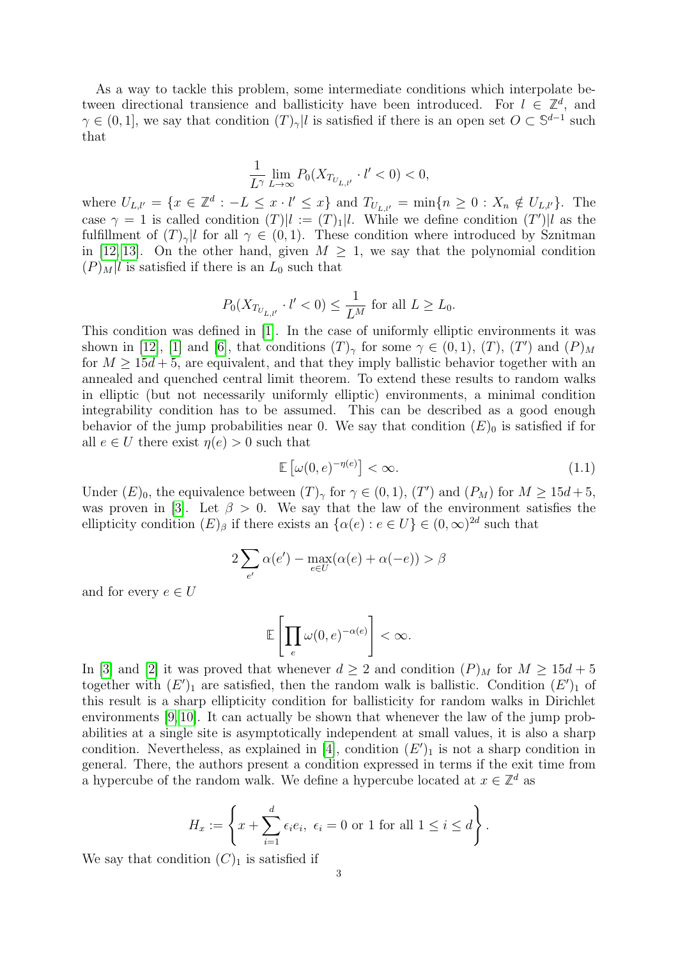As a way to tackle this problem, some intermediate conditions which interpolate between directional transience and ballisticity have been introduced. For  $l \in \mathbb{Z}^d$ , and  $\gamma \in (0,1]$ , we say that condition  $(T)_{\gamma} | l$  is satisfied if there is an open set  $O \subset \mathbb{S}^{d-1}$  such that

$$
\frac{1}{L^{\gamma}}\lim_{L\to\infty}P_0(X_{T_{U_{L,l'}}}\cdot l'<0)<0,
$$

where  $U_{L,l'} = \{x \in \mathbb{Z}^d : -L \leq x \cdot l' \leq x\}$  and  $T_{U_{L,l'}} = \min\{n \geq 0 : X_n \notin U_{L,l'}\}$ . The case  $\gamma = 1$  is called condition  $(T)|l := (T)_{1} |l$ . While we define condition  $(T')|l$  as the fulfillment of  $(T)_{\gamma}$ l for all  $\gamma \in (0,1)$ . These condition where introduced by Sznitman in [\[12,](#page-34-1) [13\]](#page-34-3). On the other hand, given  $M \geq 1$ , we say that the polynomial condition  $(P)_M$ l is satisfied if there is an  $L_0$  such that

$$
P_0(X_{T_{U_{L,l'}}}\cdot l'<0)\leq \frac{1}{L^M}\ {\rm for\ all}\ L\geq L_0.
$$

This condition was defined in [\[1\]](#page-33-0). In the case of uniformly elliptic environments it was shown in [\[12\]](#page-34-1), [\[1\]](#page-33-0) and [\[6\]](#page-33-1), that conditions  $(T)_{\gamma}$  for some  $\gamma \in (0,1)$ ,  $(T)$ ,  $(T')$  and  $(P)_{M}$ for  $M \geq 15d + 5$ , are equivalent, and that they imply ballistic behavior together with an annealed and quenched central limit theorem. To extend these results to random walks in elliptic (but not necessarily uniformly elliptic) environments, a minimal condition integrability condition has to be assumed. This can be described as a good enough behavior of the jump probabilities near 0. We say that condition  $(E)_0$  is satisfied if for all  $e \in U$  there exist  $\eta(e) > 0$  such that

$$
\mathbb{E}\left[\omega(0,e)^{-\eta(e)}\right] < \infty. \tag{1.1}
$$

Under  $(E)_0$ , the equivalence between  $(T)_\gamma$  for  $\gamma \in (0,1)$ ,  $(T')$  and  $(P_M)$  for  $M \geq 15d+5$ , was proven in [\[3\]](#page-33-3). Let  $\beta > 0$ . We say that the law of the environment satisfies the ellipticity condition  $(E)_{\beta}$  if there exists an  $\{\alpha(e) : e \in U\} \in (0,\infty)^{2d}$  such that

$$
2\sum_{e'} \alpha(e') - \max_{e \in U} (\alpha(e) + \alpha(-e)) > \beta
$$

and for every  $e \in U$ 

$$
\mathbb{E}\left[\prod_{e}\omega(0,e)^{-\alpha(e)}\right]<\infty.
$$

In [\[3\]](#page-33-3) and [\[2\]](#page-33-4) it was proved that whenever  $d \geq 2$  and condition  $(P)_M$  for  $M \geq 15d + 5$ together with  $(E')_1$  are satisfied, then the random walk is ballistic. Condition  $(E')_1$  of this result is a sharp ellipticity condition for ballisticity for random walks in Dirichlet environments [\[9,](#page-34-5) [10\]](#page-34-6). It can actually be shown that whenever the law of the jump probabilities at a single site is asymptotically independent at small values, it is also a sharp condition. Nevertheless, as explained in [\[4\]](#page-33-5), condition  $(E')_1$  is not a sharp condition in general. There, the authors present a condition expressed in terms if the exit time from a hypercube of the random walk. We define a hypercube located at  $x \in \mathbb{Z}^d$  as

$$
H_x := \left\{ x + \sum_{i=1}^d \epsilon_i e_i, \ \epsilon_i = 0 \text{ or } 1 \text{ for all } 1 \le i \le d \right\}.
$$

We say that condition  $(C)_1$  is satisfied if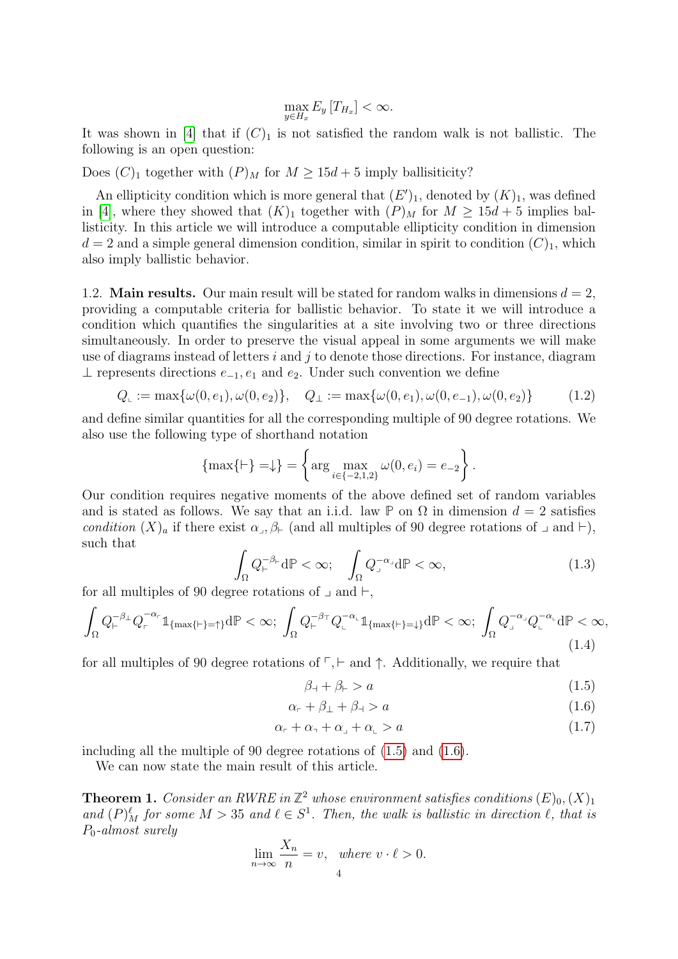$$
\max_{y \in H_x} E_y[T_{H_x}] < \infty.
$$

It was shown in [\[4\]](#page-33-5) that if  $(C)_1$  is not satisfied the random walk is not ballistic. The following is an open question:

Does  $(C)_1$  together with  $(P)_M$  for  $M \geq 15d + 5$  imply ballisiticity?

An ellipticity condition which is more general that  $(E')_1$ , denoted by  $(K)_1$ , was defined in [\[4\]](#page-33-5), where they showed that  $(K)_1$  together with  $(P)_M$  for  $M \geq 15d + 5$  implies ballisticity. In this article we will introduce a computable ellipticity condition in dimension  $d = 2$  and a simple general dimension condition, similar in spirit to condition  $(C)_1$ , which also imply ballistic behavior.

<span id="page-3-6"></span>1.2. **Main results.** Our main result will be stated for random walks in dimensions  $d = 2$ , providing a computable criteria for ballistic behavior. To state it we will introduce a condition which quantifies the singularities at a site involving two or three directions simultaneously. In order to preserve the visual appeal in some arguments we will make use of diagrams instead of letters  $i$  and  $j$  to denote those directions. For instance, diagram ⊥ represents directions  $e_{-1}$ ,  $e_1$  and  $e_2$ . Under such convention we define

$$
Q_{\mathsf{L}} := \max\{\omega(0, e_1), \omega(0, e_2)\}, \quad Q_{\mathsf{L}} := \max\{\omega(0, e_1), \omega(0, e_{-1}), \omega(0, e_2)\} \tag{1.2}
$$

and define similar quantities for all the corresponding multiple of 90 degree rotations. We also use the following type of shorthand notation

$$
\{\max\{\vdash\} = \downarrow\} = \left\{\arg\max_{i\in\{-2,1,2\}} \omega(0, e_i) = e_{-2}\right\}.
$$

Our condition requires negative moments of the above defined set of random variables and is stated as follows. We say that an i.i.d. law **P** on  $\Omega$  in dimension  $d = 2$  satisfies condition  $(X)_a$  if there exist  $\alpha_{\beta}$ ,  $\beta_{\vdash}$  (and all multiples of 90 degree rotations of  $\beta$  and  $\vdash$ ), such that

<span id="page-3-2"></span>
$$
\int_{\Omega} Q_{\vdash}^{-\beta_{\vdash}} d\mathbb{P} < \infty; \quad \int_{\Omega} Q_{\lrcorner}^{-\alpha_{\lrcorner}} d\mathbb{P} < \infty,\tag{1.3}
$$

for all multiples of 90 degree rotations of  $\Box$  and  $\vdash$ ,

<span id="page-3-4"></span>
$$
\int_{\Omega} Q_{\vdash}^{-\beta_{\bot}} Q_{\vdash}^{-\alpha_{\vdash}} \mathbb{1}_{\{\max\{\vdash\}=\uparrow\}} d\mathbb{P} < \infty; \ \int_{\Omega} Q_{\vdash}^{-\beta_{\top}} Q_{\ulcorner}^{-\alpha_{\ulcorner}} \mathbb{1}_{\{\max\{\vdash\}=\downarrow\}} d\mathbb{P} < \infty; \ \int_{\Omega} Q_{\ulcorner}^{-\alpha_{\ulcorner}} Q_{\ulcorner}^{-\alpha_{\ulcorner}} d\mathbb{P} < \infty,\tag{1.4}
$$

for all multiples of 90 degree rotations of  $\ulcorner$ ,  $\vdash$  and  $\uparrow$ . Additionally, we require that

<span id="page-3-3"></span><span id="page-3-1"></span><span id="page-3-0"></span>
$$
\beta_{\mathcal{I}} + \beta_{\mathcal{F}} > a \tag{1.5}
$$

$$
\alpha_{r} + \beta_{\perp} + \beta_{\dashv} > a \tag{1.6}
$$

$$
\alpha_{\mathsf{F}} + \alpha_{\mathsf{I}} + \alpha_{\mathsf{J}} + \alpha_{\mathsf{L}} > a \tag{1.7}
$$

including all the multiple of 90 degree rotations of [\(1.5\)](#page-3-0) and [\(1.6\)](#page-3-1).

We can now state the main result of this article.

<span id="page-3-5"></span>**Theorem 1.** Consider an RWRE in  $\mathbb{Z}^2$  whose environment satisfies conditions  $(E)_0$ ,  $(X)_1$ and  $(P)_{M}^{\ell}$  for some  $M > 35$  and  $\ell \in S^{1}$ . Then, the walk is ballistic in direction  $\ell$ , that is P0-almost surely

$$
\lim_{n \to \infty} \frac{X_n}{n} = v, \quad \text{where } v \cdot \ell > 0.
$$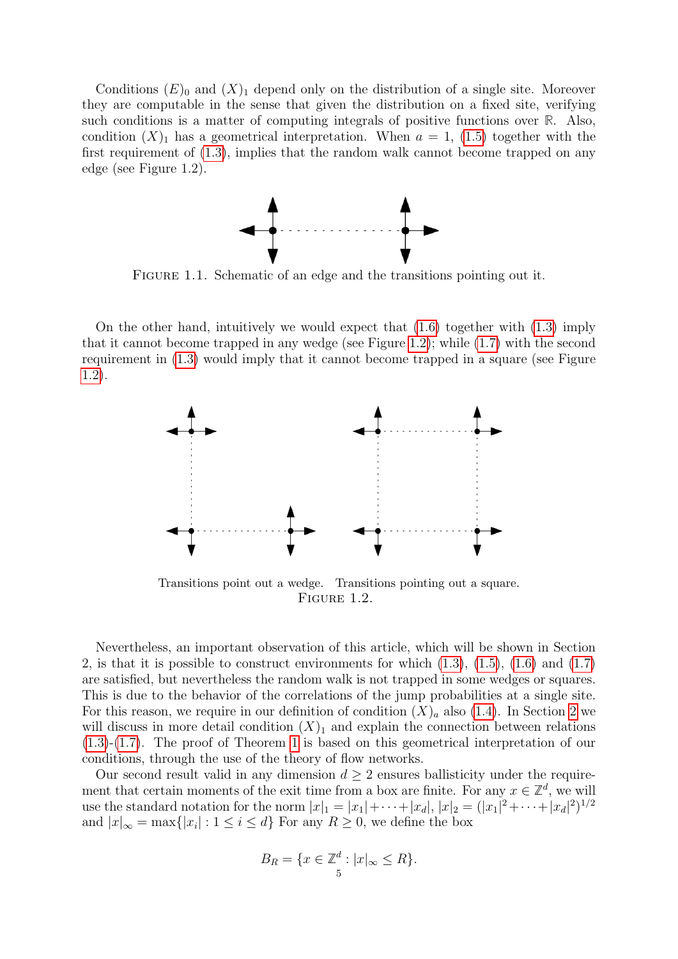Conditions  $(E)$ <sub>0</sub> and  $(X)$ <sub>1</sub> depend only on the distribution of a single site. Moreover they are computable in the sense that given the distribution on a fixed site, verifying such conditions is a matter of computing integrals of positive functions over **R**. Also, condition  $(X)_1$  has a geometrical interpretation. When  $a = 1$ , [\(1.5\)](#page-3-0) together with the first requirement of [\(1.3\)](#page-3-2), implies that the random walk cannot become trapped on any edge (see Figure 1.2).

<span id="page-4-0"></span>

FIGURE 1.1. Schematic of an edge and the transitions pointing out it.

On the other hand, intuitively we would expect that  $(1.6)$  together with  $(1.3)$  imply that it cannot become trapped in any wedge (see Figure [1.2\)](#page-4-0); while [\(1.7\)](#page-3-3) with the second requirement in [\(1.3\)](#page-3-2) would imply that it cannot become trapped in a square (see Figure [1.2\)](#page-4-0).



Transitions point out a wedge. Transitions pointing out a square. FIGURE 1.2.

Nevertheless, an important observation of this article, which will be shown in Section 2, is that it is possible to construct environments for which  $(1.3)$ ,  $(1.5)$ ,  $(1.6)$  and  $(1.7)$ are satisfied, but nevertheless the random walk is not trapped in some wedges or squares. This is due to the behavior of the correlations of the jump probabilities at a single site. For this reason, we require in our definition of condition  $(X)_a$  also [\(1.4\)](#page-3-4). In Section [2](#page-6-0) we will discuss in more detail condition  $(X)<sub>1</sub>$  and explain the connection between relations [\(1.3\)](#page-3-2)-[\(1.7\)](#page-3-3). The proof of Theorem [1](#page-3-5) is based on this geometrical interpretation of our conditions, through the use of the theory of flow networks.

Our second result valid in any dimension  $d \geq 2$  ensures ballisticity under the requirement that certain moments of the exit time from a box are finite. For any  $x \in \mathbb{Z}^d$ , we will use the standard notation for the norm  $|x|_1 = |x_1| + \cdots + |x_d|, |x|_2 = (|x_1|^2 + \cdots + |x_d|^2)^{1/2}$ and  $|x|_{\infty} = \max\{|x_i| : 1 \le i \le d\}$  For any  $R \ge 0$ , we define the box

$$
B_R = \{ x \in \mathbb{Z}^d : |x|_{\infty} \le R \}.
$$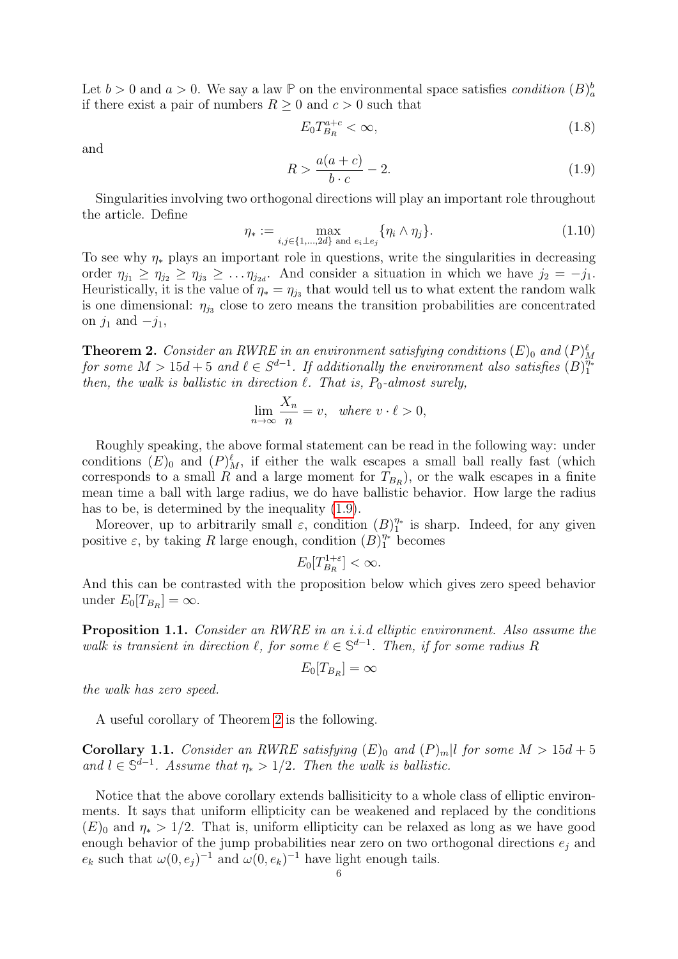Let  $b > 0$  and  $a > 0$ . We say a law  $\mathbb{P}$  on the environmental space satisfies *condition*  $(B)_{a}^{b}$ if there exist a pair of numbers  $R \geq 0$  and  $c > 0$  such that

<span id="page-5-3"></span>
$$
E_0 T_{B_R}^{a+c} < \infty,\tag{1.8}
$$

and

<span id="page-5-0"></span>
$$
R > \frac{a(a+c)}{b \cdot c} - 2.
$$
\n
$$
(1.9)
$$

Singularities involving two orthogonal directions will play an important role throughout the article. Define

<span id="page-5-4"></span>
$$
\eta_* := \max_{i,j \in \{1,\dots,2d\} \text{ and } e_i \perp e_j} \{ \eta_i \wedge \eta_j \}. \tag{1.10}
$$

To see why  $\eta_*$  plays an important role in questions, write the singularities in decreasing order  $\eta_{j_1} \geq \eta_{j_2} \geq \eta_{j_3} \geq \ldots \eta_{j_{2d}}$ . And consider a situation in which we have  $j_2 = -j_1$ . Heuristically, it is the value of  $\eta_* = \eta_{j_3}$  that would tell us to what extent the random walk is one dimensional:  $\eta_{j3}$  close to zero means the transition probabilities are concentrated on  $j_1$  and  $-j_1$ ,

<span id="page-5-1"></span>**Theorem 2.** Consider an RWRE in an environment satisfying conditions  $(E)_0$  and  $(P)_M^{\ell}$  for some  $M > 15d + 5$  and  $\ell \in S^{d-1}$ . If additionally the environment also satisfies  $(B)_1^{n*}$ 1 then, the walk is ballistic in direction  $\ell$ . That is,  $P_0$ -almost surely,

$$
\lim_{n \to \infty} \frac{X_n}{n} = v, \quad where \ v \cdot \ell > 0,
$$

Roughly speaking, the above formal statement can be read in the following way: under conditions  $(E)$ <sub>0</sub> and  $(P)_{M}^{\ell}$ , if either the walk escapes a small ball really fast (which corresponds to a small R and a large moment for  $T_{B_R}$ ), or the walk escapes in a finite mean time a ball with large radius, we do have ballistic behavior. How large the radius has to be, is determined by the inequality [\(1.9\)](#page-5-0).

Moreover, up to arbitrarily small  $\varepsilon$ , condition  $(B)_{1}^{\eta*}$  $\frac{\eta_*}{1}$  is sharp. Indeed, for any given positive  $\varepsilon$ , by taking R large enough, condition  $(B)_{1}^{\eta_*}$  becomes

$$
E_0[T_{B_R}^{1+\varepsilon}] < \infty.
$$

And this can be contrasted with the proposition below which gives zero speed behavior under  $E_0[T_{B_R}] = \infty$ .

<span id="page-5-2"></span>Proposition 1.1. Consider an RWRE in an i.i.d elliptic environment. Also assume the walk is transient in direction  $\ell$ , for some  $\ell \in \mathbb{S}^{d-1}$ . Then, if for some radius R

$$
E_0[T_{B_R}] = \infty
$$

the walk has zero speed.

A useful corollary of Theorem [2](#page-5-1) is the following.

<span id="page-5-5"></span>**Corollary 1.1.** Consider an RWRE satisfying  $(E)$ <sub>0</sub> and  $(P)_m$  to for some  $M > 15d + 5$ and  $l \in \mathbb{S}^{d-1}$ . Assume that  $\eta_* > 1/2$ . Then the walk is ballistic.

Notice that the above corollary extends ballisiticity to a whole class of elliptic environments. It says that uniform ellipticity can be weakened and replaced by the conditions  $(E)$ <sub>0</sub> and  $\eta_* > 1/2$ . That is, uniform ellipticity can be relaxed as long as we have good enough behavior of the jump probabilities near zero on two orthogonal directions  $e_j$  and  $e_k$  such that  $\omega(0, e_j)^{-1}$  and  $\omega(0, e_k)^{-1}$  have light enough tails.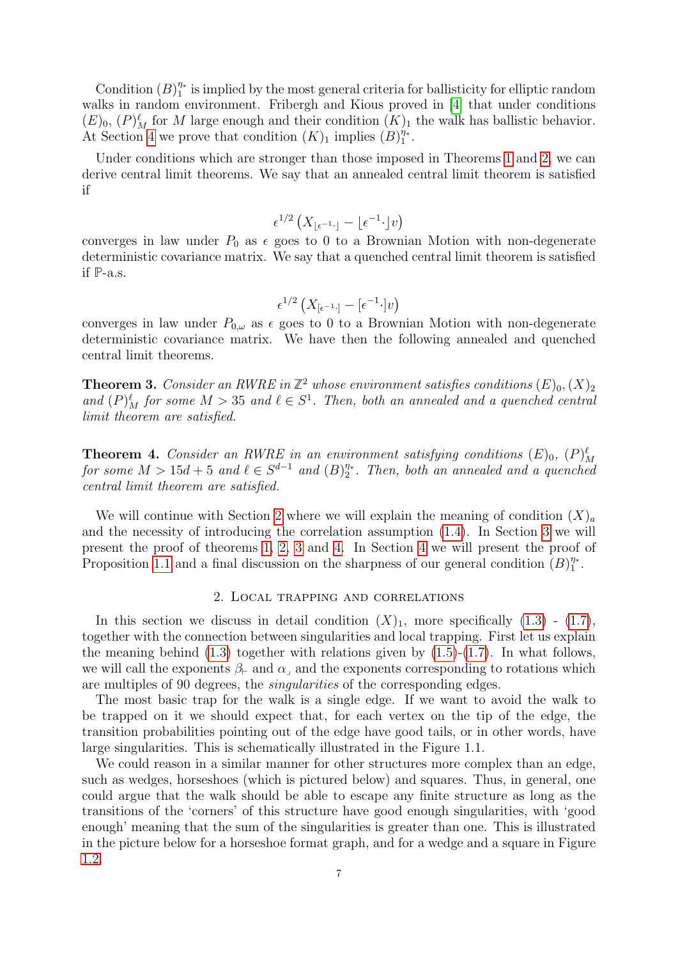Condition  $(B)_{1}^{\eta*}$  $\frac{\eta_*}{1}$  is implied by the most general criteria for ballisticity for elliptic random walks in random environment. Fribergh and Kious proved in [\[4\]](#page-33-5) that under conditions  $(E)_0$ ,  $(P)_M^{\ell}$  for M large enough and their condition  $(K)_1$  the walk has ballistic behavior. At Section [4](#page-30-0) we prove that condition  $(K)_1$  implies  $(B)_1^{\eta_*}$  $\frac{\eta_*}{1}$  .

Under conditions which are stronger than those imposed in Theorems [1](#page-3-5) and [2,](#page-5-1) we can derive central limit theorems. We say that an annealed central limit theorem is satisfied if

$$
\epsilon^{1/2} \left( X_{\lfloor \epsilon^{-1} \cdot \rfloor} - \lfloor \epsilon^{-1} \cdot \rfloor v \right)
$$

converges in law under  $P_0$  as  $\epsilon$  goes to 0 to a Brownian Motion with non-degenerate deterministic covariance matrix. We say that a quenched central limit theorem is satisfied if **P**-a.s.

$$
\epsilon^{1/2} \left( X_{\left[\epsilon^{-1}\cdot\right]} - \left[\epsilon^{-1}\cdot\right]v \right)
$$

converges in law under  $P_{0,\omega}$  as  $\epsilon$  goes to 0 to a Brownian Motion with non-degenerate deterministic covariance matrix. We have then the following annealed and quenched central limit theorems.

<span id="page-6-1"></span>**Theorem 3.** Consider an RWRE in  $\mathbb{Z}^2$  whose environment satisfies conditions  $(E)_0$ ,  $(X)_2$ and  $(P)_{M}^{\ell}$  for some  $M > 35$  and  $\ell \in S^{1}$ . Then, both an annealed and a quenched central limit theorem are satisfied.

<span id="page-6-2"></span>**Theorem 4.** Consider an RWRE in an environment satisfying conditions  $(E)_{0}$ ,  $(P)_{M}^{\ell}$ for some  $M > 15d + 5$  and  $\ell \in S^{d-1}$  and  $(B)_{2}^{\eta*}$  $\frac{\eta_*}{2}$ . Then, both an annealed and a quenched central limit theorem are satisfied.

We will continue with Section [2](#page-6-0) where we will explain the meaning of condition  $(X)_a$ and the necessity of introducing the correlation assumption [\(1.4\)](#page-3-4). In Section [3](#page-11-0) we will present the proof of theorems [1,](#page-3-5) [2,](#page-5-1) [3](#page-6-1) and [4.](#page-6-2) In Section [4](#page-30-0) we will present the proof of Proposition [1.1](#page-5-2) and a final discussion on the sharpness of our general condition  $(B)_{1}^{\eta*}$  $\frac{\eta_*}{1}$  .

### 2. Local trapping and correlations

<span id="page-6-0"></span>In this section we discuss in detail condition  $(X)_1$ , more specifically  $(1.3)$  -  $(1.7)$ , together with the connection between singularities and local trapping. First let us explain the meaning behind  $(1.3)$  together with relations given by  $(1.5)-(1.7)$  $(1.5)-(1.7)$  $(1.5)-(1.7)$ . In what follows, we will call the exponents  $\beta_{\vdash}$  and  $\alpha_{\vdash}$  and the exponents corresponding to rotations which are multiples of 90 degrees, the singularities of the corresponding edges.

The most basic trap for the walk is a single edge. If we want to avoid the walk to be trapped on it we should expect that, for each vertex on the tip of the edge, the transition probabilities pointing out of the edge have good tails, or in other words, have large singularities. This is schematically illustrated in the Figure 1.1.

We could reason in a similar manner for other structures more complex than an edge, such as wedges, horseshoes (which is pictured below) and squares. Thus, in general, one could argue that the walk should be able to escape any finite structure as long as the transitions of the 'corners' of this structure have good enough singularities, with 'good enough' meaning that the sum of the singularities is greater than one. This is illustrated in the picture below for a horseshoe format graph, and for a wedge and a square in Figure [1.2.](#page-4-0)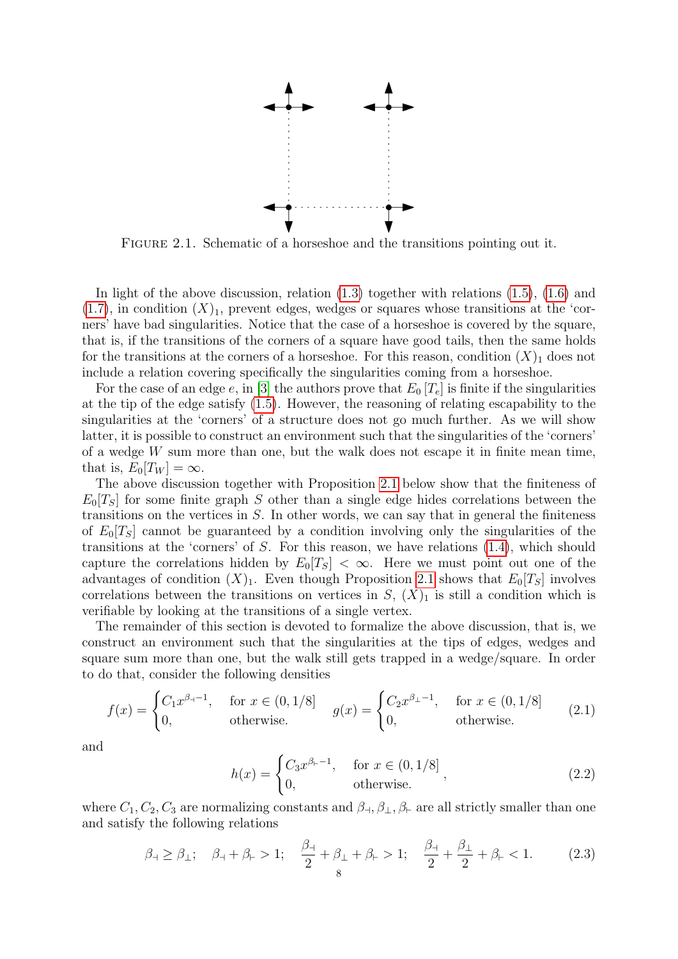

Figure 2.1. Schematic of a horseshoe and the transitions pointing out it.

In light of the above discussion, relation  $(1.3)$  together with relations  $(1.5)$ ,  $(1.6)$  and  $(1.7)$ , in condition  $(X)_1$ , prevent edges, wedges or squares whose transitions at the 'corners' have bad singularities. Notice that the case of a horseshoe is covered by the square, that is, if the transitions of the corners of a square have good tails, then the same holds for the transitions at the corners of a horseshoe. For this reason, condition  $(X)$ <sub>1</sub> does not include a relation covering specifically the singularities coming from a horseshoe.

For the case of an edge e, in [\[3\]](#page-33-3) the authors prove that  $E_0[T_e]$  is finite if the singularities at the tip of the edge satisfy [\(1.5\)](#page-3-0). However, the reasoning of relating escapability to the singularities at the 'corners' of a structure does not go much further. As we will show latter, it is possible to construct an environment such that the singularities of the 'corners' of a wedge  $W$  sum more than one, but the walk does not escape it in finite mean time, that is,  $E_0[T_W] = \infty$ .

The above discussion together with Proposition [2.1](#page-10-0) below show that the finiteness of  $E_0[T_S]$  for some finite graph S other than a single edge hides correlations between the transitions on the vertices in  $S$ . In other words, we can say that in general the finiteness of  $E_0[T_S]$  cannot be guaranteed by a condition involving only the singularities of the transitions at the 'corners' of  $S$ . For this reason, we have relations  $(1.4)$ , which should capture the correlations hidden by  $E_0[T_S] < \infty$ . Here we must point out one of the advantages of condition  $(X)_1$ . Even though Proposition [2.1](#page-10-0) shows that  $E_0[T_S]$  involves correlations between the transitions on vertices in  $S$ ,  $(X)_1$  is still a condition which is verifiable by looking at the transitions of a single vertex.

The remainder of this section is devoted to formalize the above discussion, that is, we construct an environment such that the singularities at the tips of edges, wedges and square sum more than one, but the walk still gets trapped in a wedge/square. In order to do that, consider the following densities

$$
f(x) = \begin{cases} C_1 x^{\beta_1 - 1}, & \text{for } x \in (0, 1/8] \\ 0, & \text{otherwise.} \end{cases} \qquad g(x) = \begin{cases} C_2 x^{\beta_1 - 1}, & \text{for } x \in (0, 1/8] \\ 0, & \text{otherwise.} \end{cases} \tag{2.1}
$$

and

$$
h(x) = \begin{cases} C_3 x^{\beta_{-1}}, & \text{for } x \in (0, 1/8] \\ 0, & \text{otherwise.} \end{cases}
$$
 (2.2)

where  $C_1, C_2, C_3$  are normalizing constants and  $\beta_{\perp}, \beta_{\perp}, \beta_{\vdash}$  are all strictly smaller than one and satisfy the following relations

<span id="page-7-0"></span>
$$
\beta_{\dashv} \ge \beta_{\perp}; \quad \beta_{\dashv} + \beta_{\vdash} > 1; \quad \frac{\beta_{\dashv}}{2} + \beta_{\perp} + \beta_{\vdash} > 1; \quad \frac{\beta_{\dashv}}{2} + \frac{\beta_{\perp}}{2} + \beta_{\vdash} < 1. \tag{2.3}
$$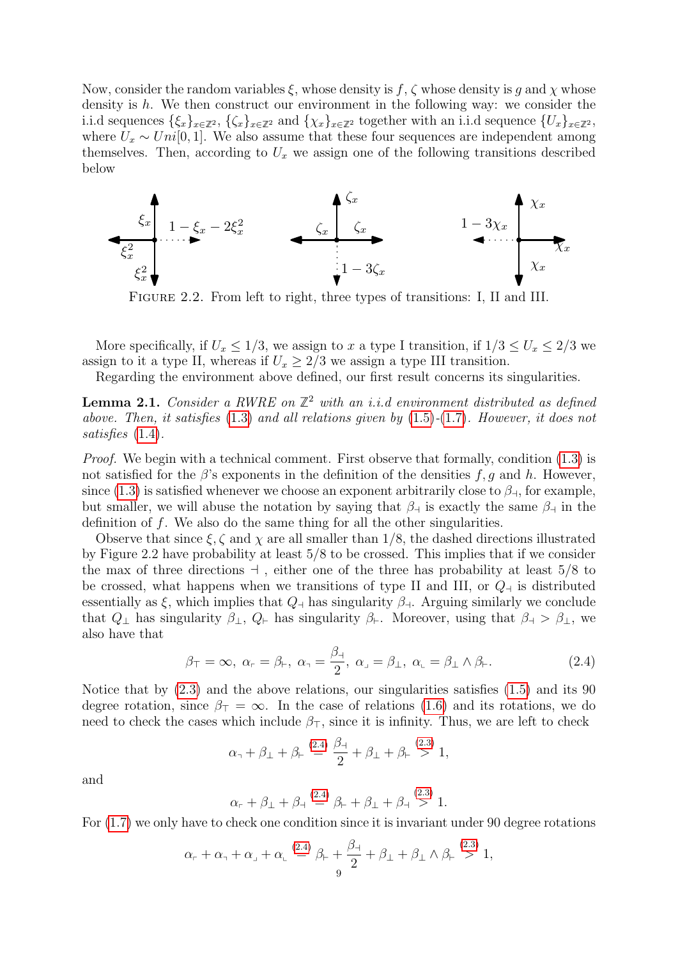Now, consider the random variables  $\xi$ , whose density is f,  $\zeta$  whose density is g and  $\chi$  whose density is h. We then construct our environment in the following way: we consider the i.i.d sequences  $\{\xi_x\}_{x\in\mathbb{Z}^2}$ ,  $\{\zeta_x\}_{x\in\mathbb{Z}^2}$  and  $\{\chi_x\}_{x\in\mathbb{Z}^2}$  together with an i.i.d sequence  $\{U_x\}_{x\in\mathbb{Z}^2}$ , where  $U_x \sim Uni[0, 1]$ . We also assume that these four sequences are independent among themselves. Then, according to  $U_x$  we assign one of the following transitions described below



FIGURE 2.2. From left to right, three types of transitions: I, II and III.

More specifically, if  $U_x \le 1/3$ , we assign to x a type I transition, if  $1/3 \le U_x \le 2/3$  we assign to it a type II, whereas if  $U_x \geq 2/3$  we assign a type III transition.

Regarding the environment above defined, our first result concerns its singularities.

**Lemma 2.1.** Consider a RWRE on  $\mathbb{Z}^2$  with an i.i.d environment distributed as defined above. Then, it satisfies  $(1.3)$  and all relations given by  $(1.5)-(1.7)$  $(1.5)-(1.7)$  $(1.5)-(1.7)$ . However, it does not satisfies [\(1.4\)](#page-3-4).

*Proof.* We begin with a technical comment. First observe that formally, condition  $(1.3)$  is not satisfied for the  $\beta$ 's exponents in the definition of the densities f, g and h. However, since [\(1.3\)](#page-3-2) is satisfied whenever we choose an exponent arbitrarily close to  $\beta_{\text{H}}$ , for example, but smaller, we will abuse the notation by saying that  $\beta_{\text{A}}$  is exactly the same  $\beta_{\text{A}}$  in the definition of  $f$ . We also do the same thing for all the other singularities.

Observe that since  $\xi, \zeta$  and  $\chi$  are all smaller than 1/8, the dashed directions illustrated by Figure 2.2 have probability at least 5/8 to be crossed. This implies that if we consider the max of three directions  $\exists$ , either one of the three has probability at least 5/8 to be crossed, what happens when we transitions of type II and III, or  $Q<sub>1</sub>$  is distributed essentially as  $\xi$ , which implies that  $Q_{\dagger}$  has singularity  $\beta_{\dagger}$ . Arguing similarly we conclude that  $Q_{\perp}$  has singularity  $\beta_{\perp}$ ,  $Q_{\vdash}$  has singularity  $\beta_{\vdash}$ . Moreover, using that  $\beta_{\dashv} > \beta_{\perp}$ , we also have that

<span id="page-8-0"></span>
$$
\beta_{\top} = \infty, \ \alpha_{\Gamma} = \beta_{\Gamma}, \ \alpha_{\Gamma} = \frac{\beta_{\Gamma}}{2}, \ \alpha_{\Gamma} = \beta_{\Gamma}, \ \alpha_{\Gamma} = \beta_{\Gamma} \wedge \beta_{\Gamma}. \tag{2.4}
$$

Notice that by [\(2.3\)](#page-7-0) and the above relations, our singularities satisfies [\(1.5\)](#page-3-0) and its 90 degree rotation, since  $\beta_{\perp} = \infty$ . In the case of relations [\(1.6\)](#page-3-1) and its rotations, we do need to check the cases which include  $\beta_{\rm T}$ , since it is infinity. Thus, we are left to check

$$
\alpha_{\mathfrak{I}} + \beta_{\mathfrak{L}} + \beta_{\mathfrak{I}} \stackrel{(2.4)}{=} \frac{\beta_{\mathfrak{I}}}{2} + \beta_{\mathfrak{L}} + \beta_{\mathfrak{I}} \stackrel{(2.3)}{>} 1,
$$

and

$$
\alpha_{r} + \beta_{\perp} + \beta_{\perp} \stackrel{(2.4)}{=} \beta_{r} + \beta_{\perp} + \beta_{\perp} \stackrel{(2.3)}{>} 1.
$$

For [\(1.7\)](#page-3-3) we only have to check one condition since it is invariant under 90 degree rotations

$$
\alpha_{\mathsf{r}} + \alpha_{\mathsf{r}} + \alpha_{\mathsf{r}} + \alpha_{\mathsf{L}} \stackrel{(2.4)}{=} \beta_{\mathsf{r}} + \frac{\beta_{\mathsf{r}}}{2} + \beta_{\mathsf{L}} + \beta_{\mathsf{L}} \wedge \beta_{\mathsf{r}} \stackrel{(2.3)}{>} 1,
$$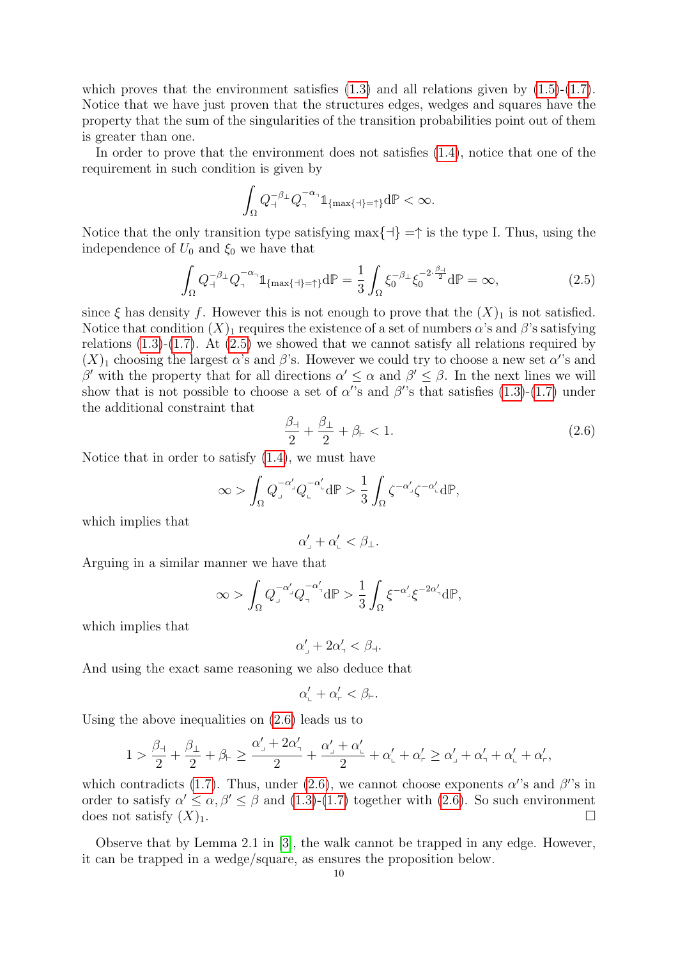which proves that the environment satisfies  $(1.3)$  and all relations given by  $(1.5)-(1.7)$  $(1.5)-(1.7)$  $(1.5)-(1.7)$ . Notice that we have just proven that the structures edges, wedges and squares have the property that the sum of the singularities of the transition probabilities point out of them is greater than one.

In order to prove that the environment does not satisfies [\(1.4\)](#page-3-4), notice that one of the requirement in such condition is given by

$$
\int_{\Omega} Q_{\mathcal{A}}^{-\beta_{\mathcal{A}}} Q_{\mathcal{A}}^{-\alpha_{\mathcal{A}}} \mathbb{1}_{\{\max\{\mathcal{A}\}=\mathcal{A}\}} d\mathbb{P} < \infty.
$$

Notice that the only transition type satisfying max $\{\dashv\} = \uparrow$  is the type I. Thus, using the independence of  $U_0$  and  $\xi_0$  we have that

<span id="page-9-0"></span>
$$
\int_{\Omega} Q_{\mathbf{1}}^{-\beta_{\mathbf{1}}} Q_{\mathbf{1}}^{-\alpha_{\mathbf{1}}} \mathbb{1}_{\{\max\{\mathbf{1}\}=\mathbf{1}\}} d\mathbb{P} = \frac{1}{3} \int_{\Omega} \xi_0^{-\beta_{\mathbf{1}}} \xi_0^{-2 \cdot \frac{\beta_{\mathbf{1}}}{2}} d\mathbb{P} = \infty,
$$
\n(2.5)

since  $\xi$  has density f. However this is not enough to prove that the  $(X)_1$  is not satisfied. Notice that condition  $(X)_1$  requires the existence of a set of numbers  $\alpha$ 's and  $\beta$ 's satisfying relations  $(1.3)-(1.7)$  $(1.3)-(1.7)$  $(1.3)-(1.7)$ . At  $(2.5)$  we showed that we cannot satisfy all relations required by  $(X)_1$  choosing the largest  $\alpha$ 's and  $\beta$ 's. However we could try to choose a new set  $\alpha$ 's and β' with the property that for all directions  $\alpha' \leq \alpha$  and  $\beta' \leq \beta$ . In the next lines we will show that is not possible to choose a set of  $\alpha$ 's and  $\beta$ 's that satisfies [\(1.3\)](#page-3-2)-[\(1.7\)](#page-3-3) under the additional constraint that

<span id="page-9-1"></span>
$$
\frac{\beta_{+}}{2} + \frac{\beta_{+}}{2} + \beta_{+} < 1. \tag{2.6}
$$

Notice that in order to satisfy  $(1.4)$ , we must have

$$
\infty > \int_{\Omega} Q_{\perp}^{-\alpha'_{\perp}} Q_{\perp}^{-\alpha'_{\perp}} d\mathbb{P} > \frac{1}{3} \int_{\Omega} \zeta^{-\alpha'_{\perp}} \zeta^{-\alpha'_{\perp}} d\mathbb{P},
$$

which implies that

$$
\alpha'_\mathrm{b}+\alpha'_\mathrm{b}<\beta_\mathrm{d}.
$$

Arguing in a similar manner we have that

$$
\infty > \int_{\Omega} Q^{-\alpha'_{j}}_{j} Q^{-\alpha'_{j}}_{j} d\mathbb{P} > \frac{1}{3} \int_{\Omega} \xi^{-\alpha'_{j}} \xi^{-2\alpha'_{j}} d\mathbb{P},
$$

which implies that

$$
\alpha'_\mathbf{j}+2\alpha'_\mathbf{i}<\beta_\mathbf{i}.
$$

And using the exact same reasoning we also deduce that

$$
\alpha_{\rm L}'+\alpha_{\rm L}'<\beta_{\rm L}.
$$

Using the above inequalities on [\(2.6\)](#page-9-1) leads us to

$$
1>\frac{\beta_{\dashv}}{2}+\frac{\beta_{\perp}}{2}+\beta_{\vdash}\geq \frac{\alpha'_{\dashv}+2\alpha'_{\dashv}}{2}+\frac{\alpha'_{\dashv}+\alpha'_{\vdash}}{2}+\alpha'_{\vdash}+\alpha'_{\vdash}\geq \alpha'_{\dashv}+\alpha'_{\dashv}+\alpha'_{\vdash}+\alpha'_{\vdash},
$$

which contradicts [\(1.7\)](#page-3-3). Thus, under [\(2.6\)](#page-9-1), we cannot choose exponents  $\alpha$ 's and  $\beta$ 's in order to satisfy  $\alpha' \leq \alpha, \beta' \leq \beta$  and [\(1.3\)](#page-3-2)-[\(1.7\)](#page-3-3) together with [\(2.6\)](#page-9-1). So such environment does not satisfy  $(X)_1$ .

Observe that by Lemma 2.1 in [\[3\]](#page-33-3), the walk cannot be trapped in any edge. However, it can be trapped in a wedge/square, as ensures the proposition below.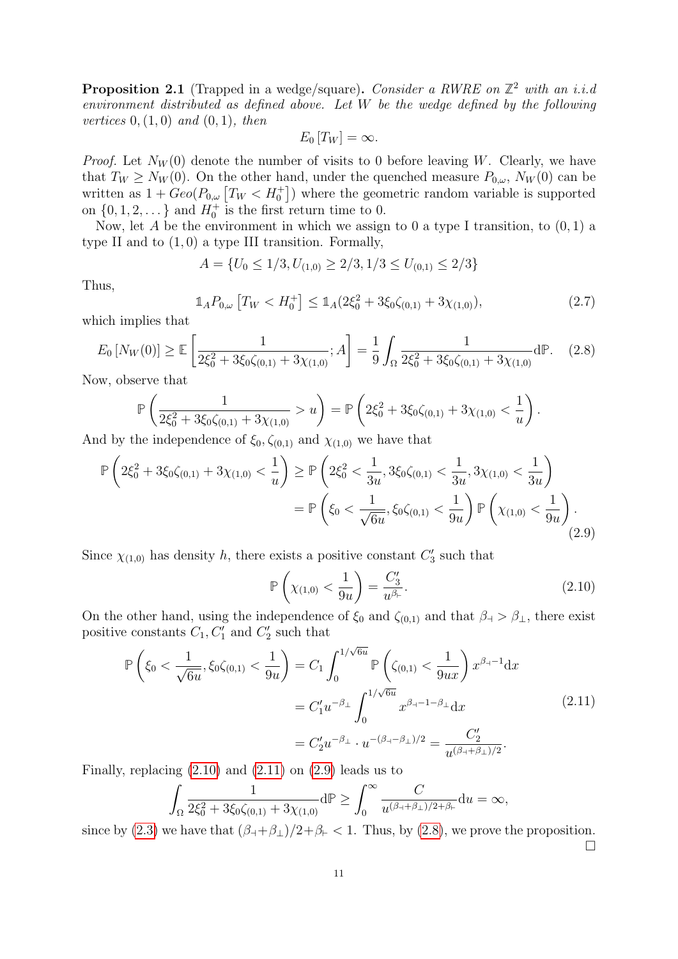<span id="page-10-0"></span>**Proposition 2.1** (Trapped in a wedge/square). Consider a RWRE on  $\mathbb{Z}^2$  with an i.i.d environment distributed as defined above. Let W be the wedge defined by the following *vertices*  $0, (1, 0)$  *and*  $(0, 1)$ *, then* 

$$
E_0[T_W] = \infty.
$$

*Proof.* Let  $N_W(0)$  denote the number of visits to 0 before leaving W. Clearly, we have that  $T_W \ge N_W(0)$ . On the other hand, under the quenched measure  $P_{0,\omega}$ ,  $N_W(0)$  can be written as  $1 + Geo(P_{0,\omega}[T_W < H_0^+])$  where the geometric random variable is supported on  $\{0, 1, 2, \dots\}$  and  $H_0^+$  is the first return time to 0.

Now, let A be the environment in which we assign to 0 a type I transition, to  $(0, 1)$  a type II and to  $(1,0)$  a type III transition. Formally,

$$
A = \{U_0 \le 1/3, U_{(1,0)} \ge 2/3, 1/3 \le U_{(0,1)} \le 2/3\}
$$

Thus,

$$
\mathbb{1}_A P_{0,\omega} \left[ T_W < H_0^+ \right] \le \mathbb{1}_A (2\xi_0^2 + 3\xi_0 \zeta_{(0,1)} + 3\chi_{(1,0)}),\tag{2.7}
$$

which implies that

<span id="page-10-4"></span>
$$
E_0\left[N_W(0)\right] \ge \mathbb{E}\left[\frac{1}{2\xi_0^2 + 3\xi_0\zeta_{(0,1)} + 3\chi_{(1,0)}}; A\right] = \frac{1}{9} \int_{\Omega} \frac{1}{2\xi_0^2 + 3\xi_0\zeta_{(0,1)} + 3\chi_{(1,0)}} d\mathbb{P}.
$$
 (2.8)

Now, observe that

$$
\mathbb{P}\left(\frac{1}{2\xi_0^2 + 3\xi_0\zeta_{(0,1)} + 3\chi_{(1,0)}} > u\right) = \mathbb{P}\left(2\xi_0^2 + 3\xi_0\zeta_{(0,1)} + 3\chi_{(1,0)} < \frac{1}{u}\right).
$$

And by the independence of  $\xi_0, \zeta_{(0,1)}$  and  $\chi_{(1,0)}$  we have that

<span id="page-10-3"></span>
$$
\mathbb{P}\left(2\xi_0^2 + 3\xi_0\zeta_{(0,1)} + 3\chi_{(1,0)} < \frac{1}{u}\right) \ge \mathbb{P}\left(2\xi_0^2 < \frac{1}{3u}, 3\xi_0\zeta_{(0,1)} < \frac{1}{3u}, 3\chi_{(1,0)} < \frac{1}{3u}\right)
$$
\n
$$
= \mathbb{P}\left(\xi_0 < \frac{1}{\sqrt{6u}}, \xi_0\zeta_{(0,1)} < \frac{1}{9u}\right) \mathbb{P}\left(\chi_{(1,0)} < \frac{1}{9u}\right). \tag{2.9}
$$

Since  $\chi_{(1,0)}$  has density h, there exists a positive constant  $C'_3$  such that

<span id="page-10-1"></span>
$$
\mathbb{P}\left(\chi_{(1,0)} < \frac{1}{9u}\right) = \frac{C_3'}{u^{\beta_{\vdash}}}.\tag{2.10}
$$

On the other hand, using the independence of  $\xi_0$  and  $\zeta_{(0,1)}$  and that  $\beta_+ > \beta_+$ , there exist positive constants  $C_1, C'_1$  and  $C'_2$  such that

<span id="page-10-2"></span>
$$
\mathbb{P}\left(\xi_0 < \frac{1}{\sqrt{6u}}, \xi_0 \zeta_{(0,1)} < \frac{1}{9u}\right) = C_1 \int_0^{1/\sqrt{6u}} \mathbb{P}\left(\zeta_{(0,1)} < \frac{1}{9ux}\right) x^{\beta_1 - 1} \mathrm{d}x
$$
\n
$$
= C_1' u^{-\beta_\perp} \int_0^{1/\sqrt{6u}} x^{\beta_1 - 1 - \beta_\perp} \mathrm{d}x
$$
\n
$$
= C_2' u^{-\beta_\perp} \cdot u^{-(\beta_1 - \beta_\perp)/2} = \frac{C_2'}{u^{(\beta_1 + \beta_\perp)/2}}.
$$
\n
$$
(2.11)
$$

Finally, replacing  $(2.10)$  and  $(2.11)$  on  $(2.9)$  leads us to

$$
\int_{\Omega} \frac{1}{2\xi_0^2 + 3\xi_0 \zeta_{(0,1)} + 3\chi_{(1,0)}} d\mathbb{P} \ge \int_0^\infty \frac{C}{u^{(\beta + \beta_\perp)/2 + \beta_\vdash}} du = \infty,
$$

since by [\(2.3\)](#page-7-0) we have that  $(\beta_+\beta_+) / 2 + \beta_+ < 1$ . Thus, by [\(2.8\)](#page-10-4), we prove the proposition.  $\Box$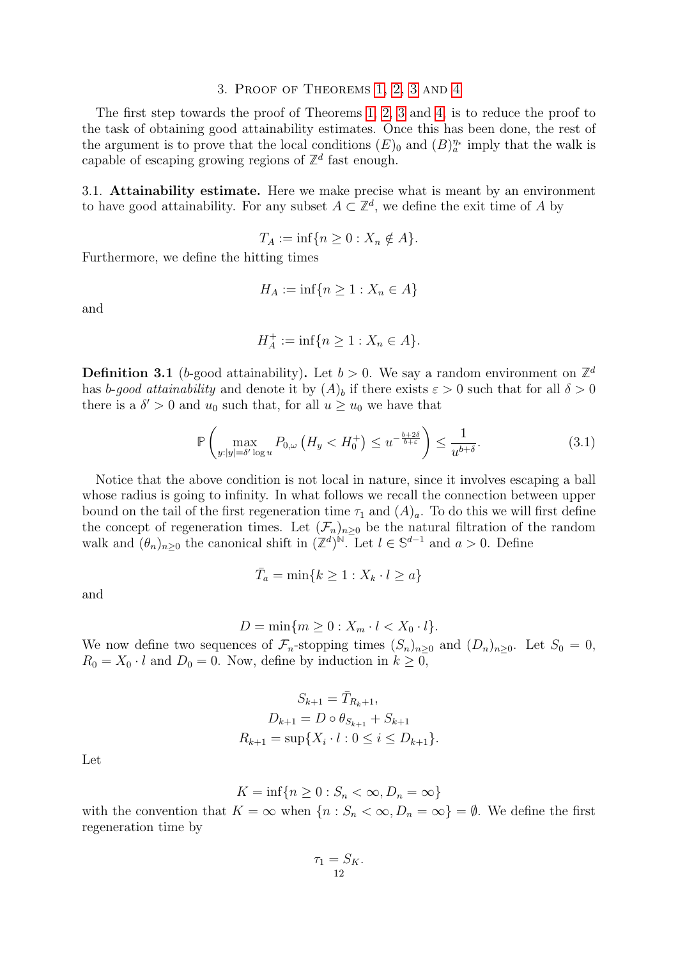# 3. Proof of Theorems [1,](#page-3-5) [2,](#page-5-1) [3](#page-6-1) and [4](#page-6-2)

<span id="page-11-0"></span>The first step towards the proof of Theorems [1,](#page-3-5) [2,](#page-5-1) [3](#page-6-1) and [4,](#page-6-2) is to reduce the proof to the task of obtaining good attainability estimates. Once this has been done, the rest of the argument is to prove that the local conditions  $(E)_0$  and  $(B)_a^{\eta_*}$  imply that the walk is capable of escaping growing regions of  $\mathbb{Z}^d$  fast enough.

3.1. Attainability estimate. Here we make precise what is meant by an environment to have good attainability. For any subset  $A \subset \mathbb{Z}^d$ , we define the exit time of A by

$$
T_A := \inf\{n \ge 0 : X_n \notin A\}.
$$

Furthermore, we define the hitting times

$$
H_A := \inf\{n \ge 1 : X_n \in A\}
$$

and

$$
H_A^+ := \inf \{ n \ge 1 : X_n \in A \}.
$$

**Definition 3.1** (b-good attainability). Let  $b > 0$ . We say a random environment on  $\mathbb{Z}^d$ has b-good attainability and denote it by  $(A)_b$  if there exists  $\varepsilon > 0$  such that for all  $\delta > 0$ there is a  $\delta' > 0$  and  $u_0$  such that, for all  $u \geq u_0$  we have that

$$
\mathbb{P}\left(\max_{y:|y|=\delta'\log u} P_{0,\omega}\left(H_y < H_0^+\right) \le u^{-\frac{b+2\delta}{b+\varepsilon}}\right) \le \frac{1}{u^{b+\delta}}.\tag{3.1}
$$

Notice that the above condition is not local in nature, since it involves escaping a ball whose radius is going to infinity. In what follows we recall the connection between upper bound on the tail of the first regeneration time  $\tau_1$  and  $(A)_a$ . To do this we will first define the concept of regeneration times. Let  $(\mathcal{F}_n)_{n\geq 0}$  be the natural filtration of the random walk and  $(\theta_n)_{n\geq 0}$  the canonical shift in  $(\mathbb{Z}^d)^{\mathbb{N}}$ . Let  $l \in \mathbb{S}^{d-1}$  and  $a > 0$ . Define

$$
\bar{T}_a = \min\{k \ge 1 : X_k \cdot l \ge a\}
$$

and

$$
D = \min\{m \ge 0 : X_m \cdot l < X_0 \cdot l\}.
$$

We now define two sequences of  $\mathcal{F}_n$ -stopping times  $(S_n)_{n\geq 0}$  and  $(D_n)_{n\geq 0}$ . Let  $S_0 = 0$ ,  $R_0 = X_0 \cdot l$  and  $D_0 = 0$ . Now, define by induction in  $k \geq 0$ ,

$$
S_{k+1} = \bar{T}_{R_k+1},
$$
  
\n
$$
D_{k+1} = D \circ \theta_{S_{k+1}} + S_{k+1}
$$
  
\n
$$
R_{k+1} = \sup \{ X_i \cdot l : 0 \le i \le D_{k+1} \}.
$$

Let

 $K = \inf\{n \ge 0 : S_n < \infty, D_n = \infty\}$ 

with the convention that  $K = \infty$  when  $\{n : S_n < \infty, D_n = \infty\} = \emptyset$ . We define the first regeneration time by

$$
\tau_1 = S_K.
$$
  
12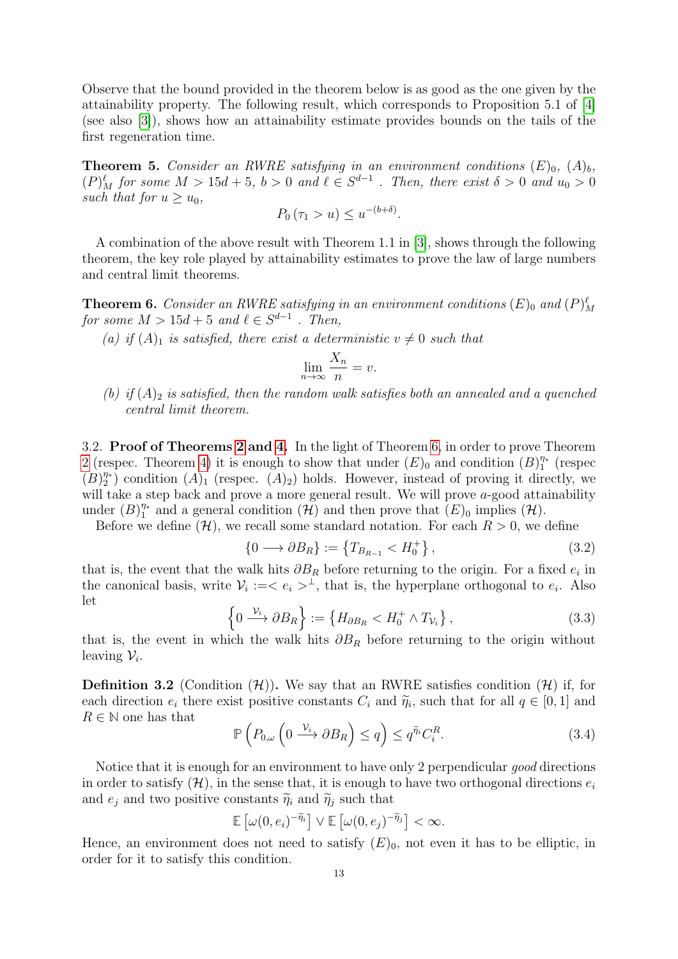Observe that the bound provided in the theorem below is as good as the one given by the attainability property. The following result, which corresponds to Proposition 5.1 of [\[4\]](#page-33-5) (see also [\[3\]](#page-33-3)), shows how an attainability estimate provides bounds on the tails of the first regeneration time.

<span id="page-12-1"></span>**Theorem 5.** Consider an RWRE satisfying in an environment conditions  $(E)_{0}$ ,  $(A)_{b}$ ,  $(P)_{M}^{\ell}$  for some  $M > 15d + 5$ ,  $b > 0$  and  $\ell \in S^{d-1}$ . Then, there exist  $\delta > 0$  and  $u_0 > 0$ such that for  $u \geq u_0$ ,

$$
P_0(\tau_1 > u) \le u^{-(b+\delta)}.
$$

A combination of the above result with Theorem 1.1 in [\[3\]](#page-33-3), shows through the following theorem, the key role played by attainability estimates to prove the law of large numbers and central limit theorems.

<span id="page-12-0"></span>**Theorem 6.** Consider an RWRE satisfying in an environment conditions  $(E)$ <sub>0</sub> and  $(P)$ <sup> $\ell$ </sup><sub>M</sub> for some  $M > 15d + 5$  and  $\ell \in S^{d-1}$  . Then,

(a) if  $(A)_1$  is satisfied, there exist a deterministic  $v \neq 0$  such that

$$
\lim_{n \to \infty} \frac{X_n}{n} = v.
$$

(b) if  $(A)_2$  is satisfied, then the random walk satisfies both an annealed and a quenched central limit theorem.

3.2. Proof of Theorems [2](#page-5-1) and [4.](#page-6-2) In the light of Theorem [6,](#page-12-0) in order to prove Theorem [2](#page-5-1) (respec. Theorem [4\)](#page-6-2) it is enough to show that under  $(E)_0$  and condition  $(B)_1^{\eta_*}$  $\frac{\eta_*}{1}$  (respec  $(B)_{2}^{\eta*}$  $\binom{\eta_*}{2}$  condition  $(A)_1$  (respec.  $(A)_2$ ) holds. However, instead of proving it directly, we will take a step back and prove a more general result. We will prove a-good attainability under  $(B)_{1}^{\eta*}$  $\eta^*$  and a general condition  $(\mathcal{H})$  and then prove that  $(E)_0$  implies  $(\mathcal{H})$ .

Before we define  $(\mathcal{H})$ , we recall some standard notation. For each  $R > 0$ , we define

$$
\{0 \longrightarrow \partial B_R\} := \left\{T_{B_{R-1}} < H_0^+\right\},\tag{3.2}
$$

that is, the event that the walk hits  $\partial B_R$  before returning to the origin. For a fixed  $e_i$  in the canonical basis, write  $\mathcal{V}_i := \langle e_i \rangle^{\perp}$ , that is, the hyperplane orthogonal to  $e_i$ . Also let

$$
\left\{0 \xrightarrow{\mathcal{V}_i} \partial B_R\right\} := \left\{H_{\partial B_R} < H_0^+ \wedge T_{\mathcal{V}_i}\right\},\tag{3.3}
$$

that is, the event in which the walk hits  $\partial B_R$  before returning to the origin without leaving  $\mathcal{V}_i$ .

**Definition 3.2** (Condition  $(\mathcal{H})$ ). We say that an RWRE satisfies condition  $(\mathcal{H})$  if, for each direction  $e_i$  there exist positive constants  $C_i$  and  $\widetilde{\eta}_i$ , such that for all  $q \in [0,1]$  and  $B \in \mathbb{N}$  one has that  $R \in \mathbb{N}$  one has that

$$
\mathbb{P}\left(P_{0,\omega}\left(0\stackrel{\mathcal{V}_i}{\longrightarrow}\partial B_R\right)\leq q\right)\leq q^{\widetilde{\eta}_i}C_i^R.\tag{3.4}
$$

Notice that it is enough for an environment to have only 2 perpendicular good directions in order to satisfy  $(H)$ , in the sense that, it is enough to have two orthogonal directions  $e_i$ and  $e_j$  and two positive constants  $\widetilde{\eta}_i$  and  $\widetilde{\eta}_j$  such that

$$
\mathbb{E}\left[\omega(0,e_i)^{-\widetilde{\eta}_i}\right] \vee \mathbb{E}\left[\omega(0,e_j)^{-\widetilde{\eta}_j}\right] < \infty.
$$

Hence, an environment does not need to satisfy  $(E)_0$ , not even it has to be elliptic, in order for it to satisfy this condition.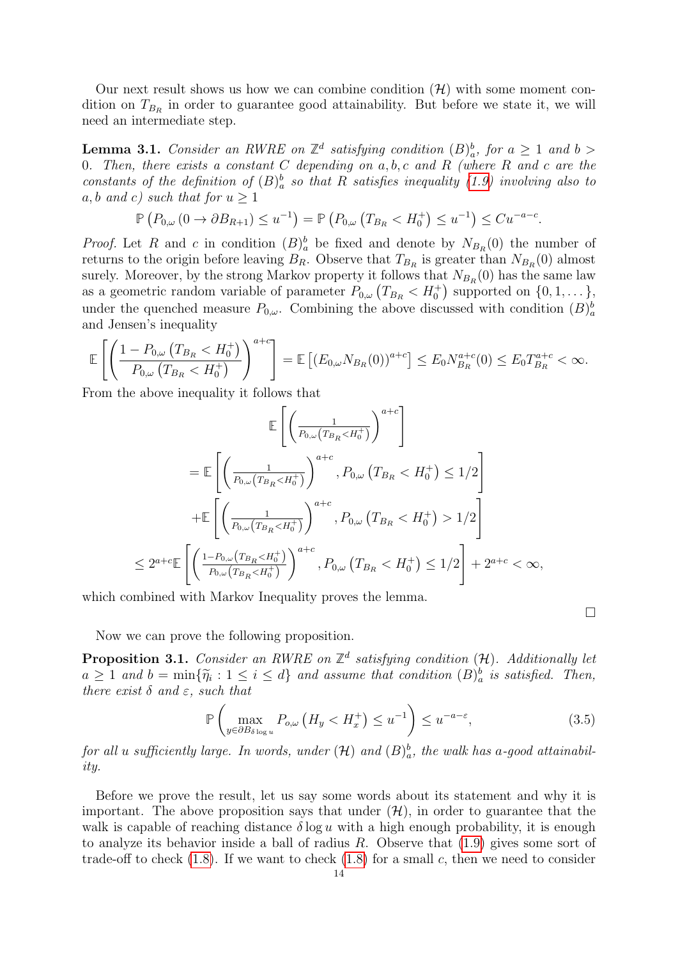Our next result shows us how we can combine condition  $(\mathcal{H})$  with some moment condition on  $T_{B_R}$  in order to guarantee good attainability. But before we state it, we will need an intermediate step.

<span id="page-13-0"></span>**Lemma 3.1.** Consider an RWRE on  $\mathbb{Z}^d$  satisfying condition  $(B)_a^b$ , for  $a \ge 1$  and  $b >$ 0. Then, there exists a constant  $C$  depending on  $a, b, c$  and  $R$  (where  $R$  and  $c$  are the constants of the definition of  $(B)_{a}^{b}$  so that R satisfies inequality [\(1.9\)](#page-5-0) involving also to a, b and c) such that for  $u > 1$ 

$$
\mathbb{P}\left(P_{0,\omega}\left(0\to\partial B_{R+1}\right)\leq u^{-1}\right)=\mathbb{P}\left(P_{0,\omega}\left(T_{B_{R}}
$$

*Proof.* Let R and c in condition  $(B)_a^b$  be fixed and denote by  $N_{B_R}(0)$  the number of returns to the origin before leaving  $B_R$ . Observe that  $T_{B_R}$  is greater than  $N_{B_R}(0)$  almost surely. Moreover, by the strong Markov property it follows that  $N_{B_R}(0)$  has the same law as a geometric random variable of parameter  $P_{0,\omega}(T_{B_R} < H_0^+)$  supported on  $\{0,1,\dots\},\$ under the quenched measure  $P_{0,\omega}$ . Combining the above discussed with condition  $(B)_{a}^{b}$ and Jensen's inequality

$$
\mathbb{E}\left[\left(\frac{1-P_{0,\omega}\left(T_{B_R} < H_0^+\right)}{P_{0,\omega}\left(T_{B_R} < H_0^+\right)}\right)^{a+c}\right] = \mathbb{E}\left[\left(E_{0,\omega}N_{B_R}(0)\right)^{a+c}\right] \le E_0 N_{B_R}^{a+c}(0) \le E_0 T_{B_R}^{a+c} < \infty.
$$

From the above inequality it follows that

$$
\mathbb{E}\left[\left(\frac{1}{P_{0,\omega}(T_{B_R} < H_0^+)}\right)^{a+c}\right]
$$
\n
$$
= \mathbb{E}\left[\left(\frac{1}{P_{0,\omega}(T_{B_R} < H_0^+)}\right)^{a+c}, P_{0,\omega}(T_{B_R} < H_0^+) \le 1/2\right]
$$
\n
$$
+ \mathbb{E}\left[\left(\frac{1}{P_{0,\omega}(T_{B_R} < H_0^+)}\right)^{a+c}, P_{0,\omega}(T_{B_R} < H_0^+) > 1/2\right]
$$
\n
$$
\le 2^{a+c} \mathbb{E}\left[\left(\frac{1-P_{0,\omega}(T_{B_R} < H_0^+)}{P_{0,\omega}(T_{B_R} < H_0^+)}\right)^{a+c}, P_{0,\omega}(T_{B_R} < H_0^+) \le 1/2\right] + 2^{a+c} < \infty,
$$

which combined with Markov Inequality proves the lemma.

Now we can prove the following proposition.

<span id="page-13-1"></span>**Proposition 3.1.** Consider an RWRE on  $\mathbb{Z}^d$  satisfying condition  $(\mathcal{H})$ . Additionally let  $a \geq 1$  and  $b = \min\{\widetilde{\eta}_i : 1 \leq i \leq d\}$  and assume that condition  $(B)_a^b$  is satisfied. Then,<br>there exist  $\delta$  and  $\varepsilon$  exich that there exist  $\delta$  and  $\varepsilon$ , such that

$$
\mathbb{P}\left(\max_{y \in \partial B_{\delta \log u}} P_{o,\omega} \left(H_y < H_x^+\right) \le u^{-1}\right) \le u^{-a-\varepsilon},\tag{3.5}
$$

 $\Box$ 

for all  $u$  sufficiently large. In words, under  $(\mathcal{H})$  and  $(B)_{a}^{b}$ , the walk has a-good attainability.

Before we prove the result, let us say some words about its statement and why it is important. The above proposition says that under  $(\mathcal{H})$ , in order to guarantee that the walk is capable of reaching distance  $\delta \log u$  with a high enough probability, it is enough to analyze its behavior inside a ball of radius  $R$ . Observe that  $(1.9)$  gives some sort of trade-off to check  $(1.8)$ . If we want to check  $(1.8)$  for a small c, then we need to consider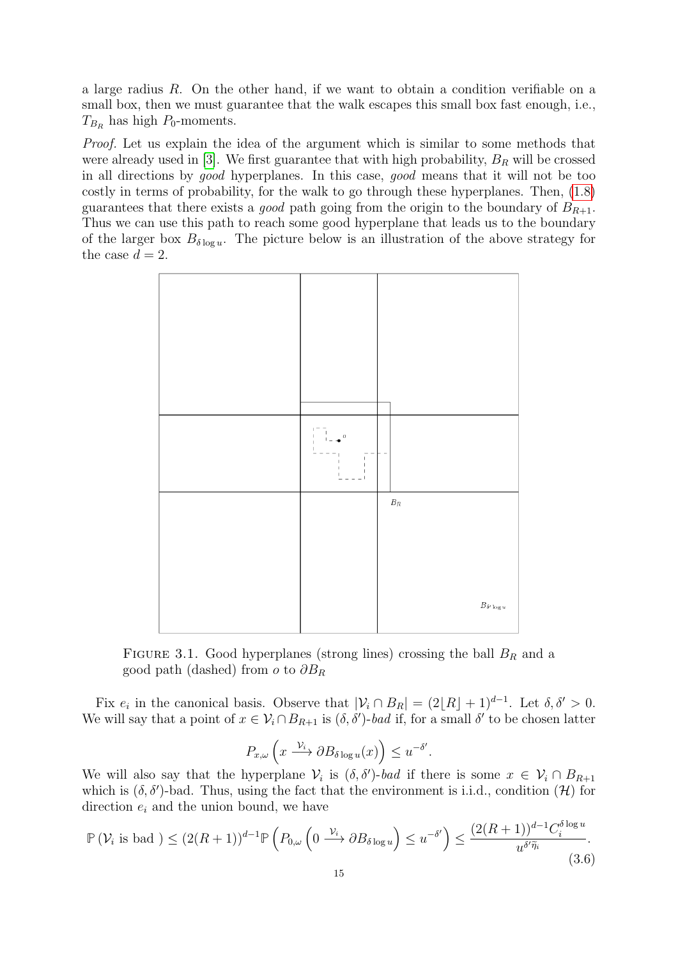a large radius R. On the other hand, if we want to obtain a condition verifiable on a small box, then we must guarantee that the walk escapes this small box fast enough, i.e.,  $T_{B_R}$  has high  $P_0$ -moments.

Proof. Let us explain the idea of the argument which is similar to some methods that were already used in [\[3\]](#page-33-3). We first guarantee that with high probability,  $B_R$  will be crossed in all directions by good hyperplanes. In this case, good means that it will not be too costly in terms of probability, for the walk to go through these hyperplanes. Then, [\(1.8\)](#page-5-3) guarantees that there exists a *good* path going from the origin to the boundary of  $B_{R+1}$ . Thus we can use this path to reach some good hyperplane that leads us to the boundary of the larger box  $B_{\delta \log u}$ . The picture below is an illustration of the above strategy for the case  $d = 2$ .



FIGURE 3.1. Good hyperplanes (strong lines) crossing the ball  $B_R$  and a good path (dashed) from  $o$  to  $\partial B_R$ 

Fix  $e_i$  in the canonical basis. Observe that  $|\mathcal{V}_i \cap B_R| = (2[R] + 1)^{d-1}$ . Let  $\delta, \delta' > 0$ . We will say that a point of  $x \in V_i \cap B_{R+1}$  is  $(\delta, \delta')$ -bad if, for a small  $\delta'$  to be chosen latter

$$
P_{x,\omega}\left(x\xrightarrow{\mathcal{V}_i} \partial B_{\delta \log u}(x)\right) \leq u^{-\delta'}.
$$

We will also say that the hyperplane  $\mathcal{V}_i$  is  $(\delta, \delta')$ -bad if there is some  $x \in \mathcal{V}_i \cap B_{R+1}$ which is  $(\delta, \delta')$ -bad. Thus, using the fact that the environment is i.i.d., condition  $(\mathcal{H})$  for direction  $e_i$  and the union bound, we have

<span id="page-14-0"></span>
$$
\mathbb{P}\left(\mathcal{V}_i \text{ is bad }\right) \le (2(R+1))^{d-1} \mathbb{P}\left(P_{0,\omega}\left(0 \xrightarrow{\mathcal{V}_i} \partial B_{\delta \log u}\right) \le u^{-\delta'}\right) \le \frac{(2(R+1))^{d-1} C_i^{\delta \log u}}{u^{\delta'\widetilde{\eta}_i}}.
$$
\n(3.6)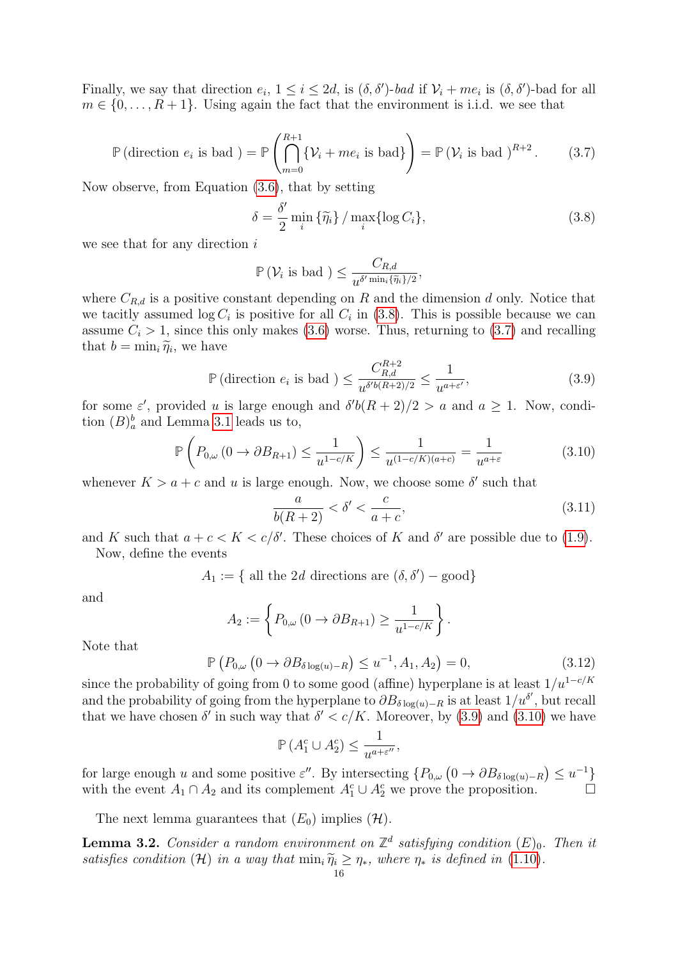Finally, we say that direction  $e_i$ ,  $1 \leq i \leq 2d$ , is  $(\delta, \delta')$ -bad if  $\mathcal{V}_i + me_i$  is  $(\delta, \delta')$ -bad for all  $m \in \{0, \ldots, R+1\}$ . Using again the fact that the environment is i.i.d. we see that

<span id="page-15-1"></span>
$$
\mathbb{P}\left(\text{direction } e_i \text{ is bad }\right) = \mathbb{P}\left(\bigcap_{m=0}^{R+1} \{V_i + me_i \text{ is bad}\}\right) = \mathbb{P}\left(V_i \text{ is bad }\right)^{R+2}.\tag{3.7}
$$

Now observe, from Equation [\(3.6\)](#page-14-0), that by setting

<span id="page-15-0"></span>
$$
\delta = \frac{\delta'}{2} \min_{i} \{ \widetilde{\eta}_i \} / \max_{i} \{ \log C_i \}, \tag{3.8}
$$

we see that for any direction i

$$
\mathbb{P}\left(\mathcal{V}_i \text{ is bad }\right) \leq \frac{C_{R,d}}{u^{\delta' \min_i \{\widetilde{\eta}_i\}/2}},
$$

where  $C_{R,d}$  is a positive constant depending on R and the dimension d only. Notice that we tacitly assumed  $\log C_i$  is positive for all  $C_i$  in [\(3.8\)](#page-15-0). This is possible because we can assume  $C_i > 1$ , since this only makes [\(3.6\)](#page-14-0) worse. Thus, returning to [\(3.7\)](#page-15-1) and recalling that  $b = \min_i \widetilde{\eta}_i$ , we have

<span id="page-15-2"></span>
$$
\mathbb{P}\left(\text{direction } e_i \text{ is bad }\right) \le \frac{C_{R,d}^{R+2}}{u^{\delta/b(R+2)/2}} \le \frac{1}{u^{a+\varepsilon'}},\tag{3.9}
$$

for some  $\varepsilon'$ , provided u is large enough and  $\delta' b(R+2)/2 > a$  and  $a \ge 1$ . Now, condition  $(B)_a^b$  and Lemma [3.1](#page-13-0) leads us to,

<span id="page-15-3"></span>
$$
\mathbb{P}\left(P_{0,\omega}\left(0\to\partial B_{R+1}\right)\leq\frac{1}{u^{1-c/K}}\right)\leq\frac{1}{u^{(1-c/K)(a+c)}}=\frac{1}{u^{a+\varepsilon}}\tag{3.10}
$$

whenever  $K > a + c$  and u is large enough. Now, we choose some  $\delta'$  such that

$$
\frac{a}{b(R+2)} < \delta' < \frac{c}{a+c},\tag{3.11}
$$

and K such that  $a + c < K < c/\delta'$ . These choices of K and  $\delta'$  are possible due to [\(1.9\)](#page-5-0). Now, define the events

 $A_1 := \{$  all the 2d directions are  $(\delta, \delta')$  – good}

and

$$
A_2 := \left\{ P_{0,\omega} \left( 0 \to \partial B_{R+1} \right) \ge \frac{1}{u^{1-c/K}} \right\}.
$$

Note that

$$
\mathbb{P}\left(P_{0,\omega}\left(0\to\partial B_{\delta\log(u)-R}\right)\leq u^{-1},A_1,A_2\right)=0,\tag{3.12}
$$

since the probability of going from 0 to some good (affine) hyperplane is at least  $1/u^{1-c/K}$ and the probability of going from the hyperplane to  $\partial B_{\delta \log(u)-R}$  is at least  $1/u^{\delta'}$ , but recall that we have chosen  $\delta'$  in such way that  $\delta' < c/K$ . Moreover, by [\(3.9\)](#page-15-2) and [\(3.10\)](#page-15-3) we have

$$
\mathbb{P}\left(A_1^c \cup A_2^c\right) \le \frac{1}{u^{a+\varepsilon''}},
$$

for large enough u and some positive  $\varepsilon''$ . By intersecting  $\{P_{0,\omega}(0 \to \partial B_{\delta \log(u)-R}) \leq u^{-1}\}\$ with the event  $A_1 \cap A_2$  and its complement  $A_1^c \cup A_2^c$  we prove the proposition.

The next lemma guarantees that  $(E_0)$  implies  $(\mathcal{H})$ .

<span id="page-15-4"></span>**Lemma 3.2.** Consider a random environment on  $\mathbb{Z}^d$  satisfying condition  $(E)_0$ . Then it satisfies condition (H) in a way that  $\min_i \widetilde{\eta}_i \geq \eta_*,$  where  $\eta_*$  is defined in [\(1.10\)](#page-5-4).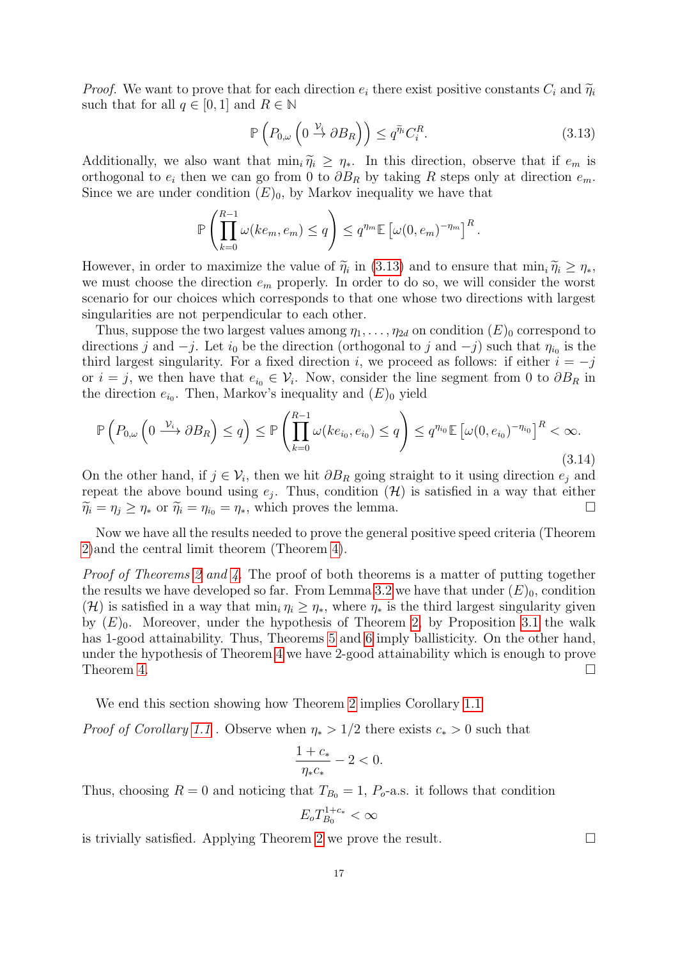*Proof.* We want to prove that for each direction  $e_i$  there exist positive constants  $C_i$  and  $\widetilde{\eta}_i$ such that for all  $q \in [0, 1]$  and  $R \in \mathbb{N}$ 

<span id="page-16-0"></span>
$$
\mathbb{P}\left(P_{0,\omega}\left(0\stackrel{\mathcal{V}_i}{\to}\partial B_R\right)\right)\leq q^{\widetilde{\eta}_i}C_i^R.\tag{3.13}
$$

Additionally, we also want that  $\min_i \tilde{\eta}_i \geq \eta_*$ . In this direction, observe that if  $e_m$  is orthogonal to  $e_i$  then we can go from 0 to  $\partial B_R$  by taking R steps only at direction  $e_m$ . Since we are under condition  $(E)$ <sub>0</sub>, by Markov inequality we have that

$$
\mathbb{P}\left(\prod_{k=0}^{R-1}\omega(ke_m, e_m) \leq q\right) \leq q^{\eta_m} \mathbb{E}\left[\omega(0, e_m)^{-\eta_m}\right]^R.
$$

However, in order to maximize the value of  $\tilde{\eta}_i$  in [\(3.13\)](#page-16-0) and to ensure that  $\min_i \tilde{\eta}_i \ge \eta_*,$ <br>we must choose the direction  $e_i$ , properly. In order to do so, we will consider the worst we must choose the direction  $e_m$  properly. In order to do so, we will consider the worst scenario for our choices which corresponds to that one whose two directions with largest singularities are not perpendicular to each other.

Thus, suppose the two largest values among  $\eta_1, \ldots, \eta_{2d}$  on condition  $(E)_0$  correspond to directions j and  $-j$ . Let  $i_0$  be the direction (orthogonal to j and  $-j$ ) such that  $\eta_{i_0}$  is the third largest singularity. For a fixed direction i, we proceed as follows: if either  $i = -j$ or  $i = j$ , we then have that  $e_{i_0} \in \mathcal{V}_i$ . Now, consider the line segment from 0 to  $\partial B_R$  in the direction  $e_{i_0}$ . Then, Markov's inequality and  $(E)_0$  yield

$$
\mathbb{P}\left(P_{0,\omega}\left(0\stackrel{\mathcal{V}_i}{\longrightarrow}\partial B_R\right)\leq q\right)\leq \mathbb{P}\left(\prod_{k=0}^{R-1}\omega(ke_{i_0},e_{i_0})\leq q\right)\leq q^{n_{i_0}}\mathbb{E}\left[\omega(0,e_{i_0})^{-n_{i_0}}\right]^R<\infty.
$$
\n(3.14)

On the other hand, if  $j \in \mathcal{V}_i$ , then we hit  $\partial B_R$  going straight to it using direction  $e_j$  and repeat the above bound using  $e_j$ . Thus, condition  $(\mathcal{H})$  is satisfied in a way that either  $\widetilde{\eta}_i = \eta_j \ge \eta_*$  or  $\widetilde{\eta}_i = \eta_{i_0} = \eta_*$ , which proves the lemma.

Now we have all the results needed to prove the general positive speed criteria (Theorem [2\)](#page-5-1)and the central limit theorem (Theorem [4\)](#page-6-2).

Proof of Theorems [2](#page-5-1) and [4.](#page-6-2) The proof of both theorems is a matter of putting together the results we have developed so far. From Lemma [3.2](#page-15-4) we have that under  $(E)_0$ , condition (H) is satisfied in a way that  $\min_i \eta_i \geq \eta_*$ , where  $\eta_*$  is the third largest singularity given by  $(E)_0$ . Moreover, under the hypothesis of Theorem [2,](#page-5-1) by Proposition [3.1](#page-13-1) the walk has 1-good attainability. Thus, Theorems [5](#page-12-1) and [6](#page-12-0) imply ballisticity. On the other hand, under the hypothesis of Theorem [4](#page-6-2) we have 2-good attainability which is enough to prove Theorem [4.](#page-6-2)  $\Box$ 

We end this section showing how Theorem [2](#page-5-1) implies Corollary [1.1](#page-5-5)

*Proof of Corollary [1.1](#page-5-5)* . Observe when  $\eta_* > 1/2$  there exists  $c_* > 0$  such that

$$
\frac{1+c_*}{\eta_*c_*} -2 < 0.
$$

Thus, choosing  $R = 0$  and noticing that  $T_{B_0} = 1$ ,  $P_o$ -a.s. it follows that condition

$$
E_o T_{B_0}^{1+c_*} < \infty
$$

is trivially satisfied. Applying Theorem [2](#page-5-1) we prove the result.  $\Box$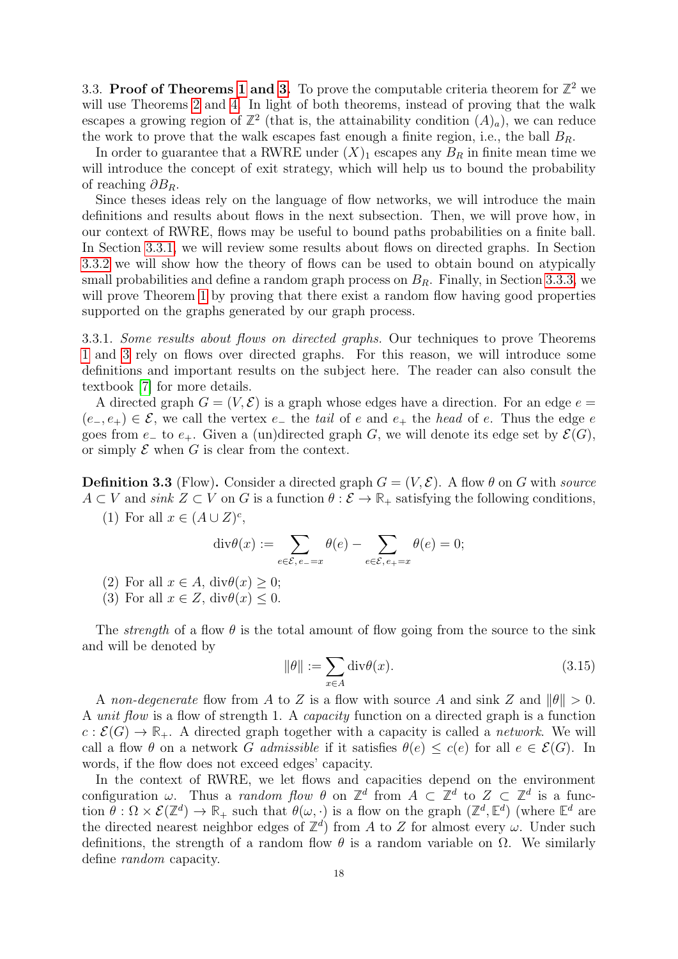3.3. **Proof of Theorems [1](#page-3-5) and [3.](#page-6-1)** To prove the computable criteria theorem for  $\mathbb{Z}^2$  we will use Theorems [2](#page-5-1) and [4.](#page-6-2) In light of both theorems, instead of proving that the walk escapes a growing region of  $\mathbb{Z}^2$  (that is, the attainability condition  $(A)_a$ ), we can reduce the work to prove that the walk escapes fast enough a finite region, i.e., the ball  $B_R$ .

In order to guarantee that a RWRE under  $(X)_1$  escapes any  $B_R$  in finite mean time we will introduce the concept of exit strategy, which will help us to bound the probability of reaching  $\partial B_R$ .

Since theses ideas rely on the language of flow networks, we will introduce the main definitions and results about flows in the next subsection. Then, we will prove how, in our context of RWRE, flows may be useful to bound paths probabilities on a finite ball. In Section [3.3.1,](#page-17-0) we will review some results about flows on directed graphs. In Section [3.3.2](#page-18-0) we will show how the theory of flows can be used to obtain bound on atypically small probabilities and define a random graph process on  $B_R$ . Finally, in Section [3.3.3,](#page-20-0) we will prove Theorem [1](#page-3-5) by proving that there exist a random flow having good properties supported on the graphs generated by our graph process.

<span id="page-17-0"></span>3.3.1. Some results about flows on directed graphs. Our techniques to prove Theorems [1](#page-3-5) and [3](#page-6-1) rely on flows over directed graphs. For this reason, we will introduce some definitions and important results on the subject here. The reader can also consult the textbook [\[7\]](#page-34-7) for more details.

A directed graph  $G = (V, \mathcal{E})$  is a graph whose edges have a direction. For an edge  $e =$  $(e_-, e_+) \in \mathcal{E}$ , we call the vertex  $e_-$  the tail of e and  $e_+$  the head of e. Thus the edge e goes from  $e_+$  to  $e_+$ . Given a (un)directed graph G, we will denote its edge set by  $\mathcal{E}(G)$ , or simply  $\mathcal E$  when  $G$  is clear from the context.

**Definition 3.3** (Flow). Consider a directed graph  $G = (V, \mathcal{E})$ . A flow  $\theta$  on G with source  $A \subset V$  and sink  $Z \subset V$  on G is a function  $\theta : \mathcal{E} \to \mathbb{R}_+$  satisfying the following conditions, c ,

(1) For all 
$$
x \in (A \cup Z)^c
$$

$$
\operatorname{div}\theta(x) := \sum_{e \in \mathcal{E}, e = -x} \theta(e) - \sum_{e \in \mathcal{E}, e_{+} = x} \theta(e) = 0;
$$

(2) For all  $x \in A$ , div $\theta(x) \geq 0$ ;

(3) For all  $x \in Z$ ,  $div \theta(x) \leq 0$ .

The *strength* of a flow  $\theta$  is the total amount of flow going from the source to the sink and will be denoted by

$$
\|\theta\| := \sum_{x \in A} \text{div}\theta(x). \tag{3.15}
$$

A non-degenerate flow from A to Z is a flow with source A and sink Z and  $\|\theta\| > 0$ . A unit flow is a flow of strength 1. A capacity function on a directed graph is a function  $c : \mathcal{E}(G) \to \mathbb{R}_+$ . A directed graph together with a capacity is called a *network*. We will call a flow  $\theta$  on a network G admissible if it satisfies  $\theta(e) \leq c(e)$  for all  $e \in \mathcal{E}(G)$ . In words, if the flow does not exceed edges' capacity.

In the context of RWRE, we let flows and capacities depend on the environment configuration  $\omega$ . Thus a *random flow*  $\theta$  on  $\mathbb{Z}^d$  from  $A \subset \mathbb{Z}^d$  to  $Z \subset \mathbb{Z}^d$  is a function  $\theta : \Omega \times \mathcal{E}(\mathbb{Z}^d) \to \mathbb{R}_+$  such that  $\theta(\omega, \cdot)$  is a flow on the graph  $(\mathbb{Z}^d, \mathbb{E}^d)$  (where  $\mathbb{E}^d$  are the directed nearest neighbor edges of  $\mathbb{Z}^d$ ) from A to Z for almost every  $\omega$ . Under such definitions, the strength of a random flow  $\theta$  is a random variable on  $\Omega$ . We similarly define random capacity.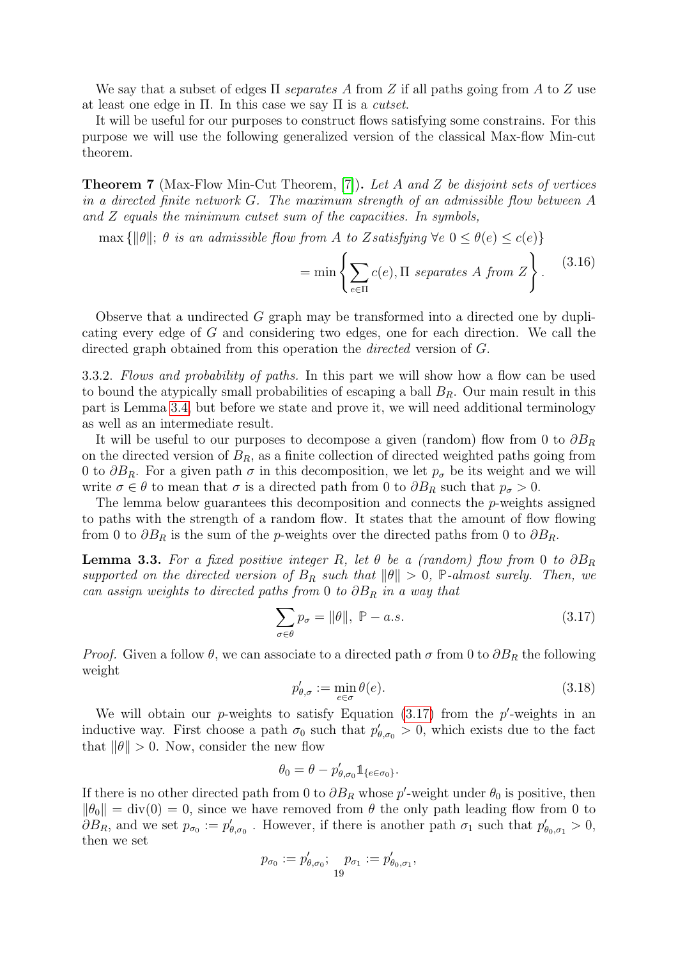We say that a subset of edges  $\Pi$  separates A from Z if all paths going from A to Z use at least one edge in  $\Pi$ . In this case we say  $\Pi$  is a *cutset*.

It will be useful for our purposes to construct flows satisfying some constrains. For this purpose we will use the following generalized version of the classical Max-flow Min-cut theorem.

<span id="page-18-3"></span>**Theorem 7** (Max-Flow Min-Cut Theorem, [\[7\]](#page-34-7)). Let A and Z be disjoint sets of vertices in a directed finite network G. The maximum strength of an admissible flow between A and Z equals the minimum cutset sum of the capacities. In symbols,

max  $\{\|\theta\|; \theta \text{ is an admissible flow from } A \text{ to Zsatisfying } \forall e \ 0 \leq \theta(e) \leq c(e)\}\$ 

$$
= \min \left\{ \sum_{e \in \Pi} c(e), \Pi \text{ separates } A \text{ from } Z \right\}. \tag{3.16}
$$

Observe that a undirected G graph may be transformed into a directed one by duplicating every edge of G and considering two edges, one for each direction. We call the directed graph obtained from this operation the *directed* version of G.

<span id="page-18-0"></span>3.3.2. Flows and probability of paths. In this part we will show how a flow can be used to bound the atypically small probabilities of escaping a ball  $B_R$ . Our main result in this part is Lemma [3.4,](#page-19-0) but before we state and prove it, we will need additional terminology as well as an intermediate result.

It will be useful to our purposes to decompose a given (random) flow from 0 to  $\partial B_R$ on the directed version of  $B_R$ , as a finite collection of directed weighted paths going from 0 to  $\partial B_R$ . For a given path  $\sigma$  in this decomposition, we let  $p_{\sigma}$  be its weight and we will write  $\sigma \in \theta$  to mean that  $\sigma$  is a directed path from 0 to  $\partial B_R$  such that  $p_{\sigma} > 0$ .

The lemma below guarantees this decomposition and connects the p-weights assigned to paths with the strength of a random flow. It states that the amount of flow flowing from 0 to  $\partial B_R$  is the sum of the p-weights over the directed paths from 0 to  $\partial B_R$ .

<span id="page-18-2"></span>**Lemma 3.3.** For a fixed positive integer R, let  $\theta$  be a (random) flow from 0 to  $\partial B_R$ supported on the directed version of  $B_R$  such that  $\|\theta\| > 0$ , **P**-almost surely. Then, we can assign weights to directed paths from 0 to  $\partial B_R$  in a way that

<span id="page-18-1"></span>
$$
\sum_{\sigma \in \theta} p_{\sigma} = \|\theta\|, \ \mathbb{P} - a.s. \tag{3.17}
$$

*Proof.* Given a follow  $\theta$ , we can associate to a directed path  $\sigma$  from 0 to  $\partial B_R$  the following weight

$$
p'_{\theta,\sigma} := \min_{e \in \sigma} \theta(e). \tag{3.18}
$$

We will obtain our p-weights to satisfy Equation  $(3.17)$  from the p'-weights in an inductive way. First choose a path  $\sigma_0$  such that  $p'_{\theta,\sigma_0} > 0$ , which exists due to the fact that  $\|\theta\| > 0$ . Now, consider the new flow

$$
\theta_0=\theta-p_{\theta,\sigma_0}'\mathbb{1}_{\{e\in\sigma_0\}}.
$$

If there is no other directed path from 0 to  $\partial B_R$  whose p'-weight under  $\theta_0$  is positive, then  $\|\theta_0\| = \text{div}(0) = 0$ , since we have removed from  $\theta$  the only path leading flow from 0 to  $\partial B_R$ , and we set  $p_{\sigma_0} := p'_{\theta, \sigma_0}$ . However, if there is another path  $\sigma_1$  such that  $p'_{\theta_0, \sigma_1} > 0$ , then we set

$$
p_{\sigma_0} := p'_{\theta, \sigma_0}; \quad p_{\sigma_1} := p'_{\theta_0, \sigma_1},
$$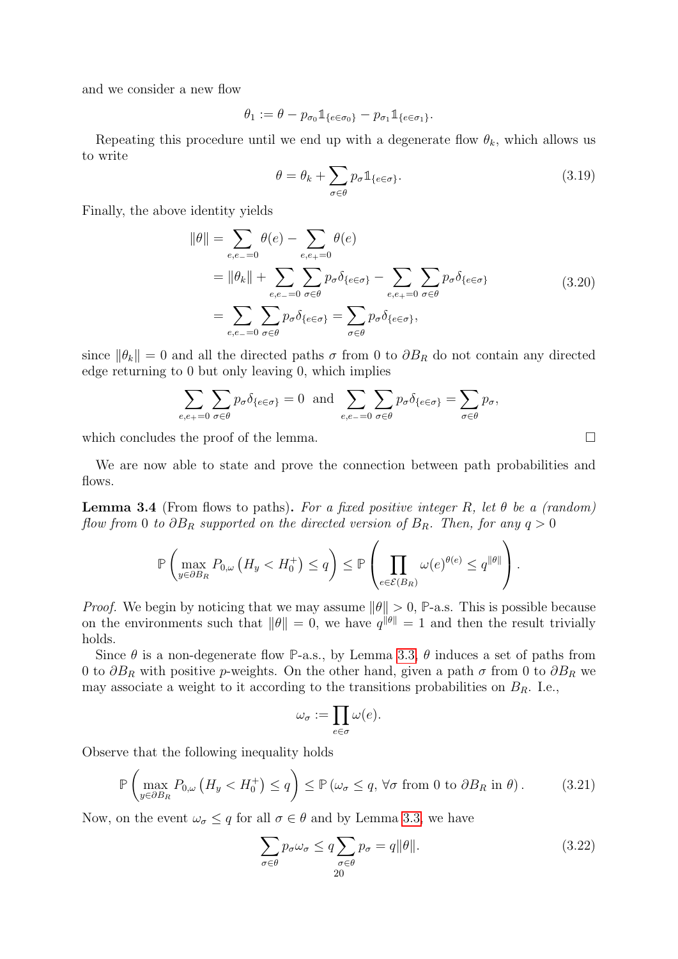and we consider a new flow

$$
\theta_1 := \theta - p_{\sigma_0} \mathbb{1}_{\{e \in \sigma_0\}} - p_{\sigma_1} \mathbb{1}_{\{e \in \sigma_1\}}.
$$

Repeating this procedure until we end up with a degenerate flow  $\theta_k$ , which allows us to write

<span id="page-19-1"></span>
$$
\theta = \theta_k + \sum_{\sigma \in \theta} p_{\sigma} \mathbb{1}_{\{e \in \sigma\}}.
$$
\n(3.19)

Finally, the above identity yields

$$
\|\theta\| = \sum_{e,e_0=0} \theta(e) - \sum_{e,e_+ = 0} \theta(e)
$$
  
=  $\|\theta_k\| + \sum_{e,e_0=0} \sum_{\sigma \in \theta} p_{\sigma} \delta_{\{e \in \sigma\}} - \sum_{e,e_+ = 0} \sum_{\sigma \in \theta} p_{\sigma} \delta_{\{e \in \sigma\}}$   
=  $\sum_{e,e_0=0} \sum_{\sigma \in \theta} p_{\sigma} \delta_{\{e \in \sigma\}} = \sum_{\sigma \in \theta} p_{\sigma} \delta_{\{e \in \sigma\}},$  (3.20)

since  $\|\theta_k\| = 0$  and all the directed paths  $\sigma$  from 0 to  $\partial B_R$  do not contain any directed edge returning to 0 but only leaving 0, which implies

$$
\sum_{e,e_+=0}\sum_{\sigma\in\theta}p_{\sigma}\delta_{\{e\in\sigma\}}=0 \text{ and } \sum_{e,e_-=0}\sum_{\sigma\in\theta}p_{\sigma}\delta_{\{e\in\sigma\}}=\sum_{\sigma\in\theta}p_{\sigma},
$$

which concludes the proof of the lemma.  $\Box$ 

We are now able to state and prove the connection between path probabilities and flows.

<span id="page-19-0"></span>**Lemma 3.4** (From flows to paths). For a fixed positive integer R, let  $\theta$  be a (random) flow from 0 to  $\partial B_R$  supported on the directed version of  $B_R$ . Then, for any  $q > 0$ 

$$
\mathbb{P}\left(\max_{y\in\partial B_R} P_{0,\omega}\left(H_y < H_0^+\right) \leq q\right) \leq \mathbb{P}\left(\prod_{e\in\mathcal{E}(B_R)} \omega(e)^{\theta(e)} \leq q^{\|\theta\|}\right).
$$

*Proof.* We begin by noticing that we may assume  $\|\theta\| > 0$ , **P**-a.s. This is possible because on the environments such that  $\|\theta\| = 0$ , we have  $q^{\|\theta\|} = 1$  and then the result trivially holds.

Since  $\theta$  is a non-degenerate flow P-a.s., by Lemma [3.3,](#page-18-2)  $\theta$  induces a set of paths from 0 to  $\partial B_R$  with positive p-weights. On the other hand, given a path  $\sigma$  from 0 to  $\partial B_R$  we may associate a weight to it according to the transitions probabilities on  $B_R$ . I.e.,

$$
\omega_{\sigma} := \prod_{e \in \sigma} \omega(e).
$$

Observe that the following inequality holds

<span id="page-19-2"></span>
$$
\mathbb{P}\left(\max_{y\in\partial B_R} P_{0,\omega}\left(H_y < H_0^+\right) \le q\right) \le \mathbb{P}\left(\omega_\sigma \le q, \forall \sigma \text{ from } 0 \text{ to } \partial B_R \text{ in } \theta\right). \tag{3.21}
$$

Now, on the event  $\omega_{\sigma} \leq q$  for all  $\sigma \in \theta$  and by Lemma [3.3,](#page-18-2) we have

$$
\sum_{\sigma \in \theta} p_{\sigma} \omega_{\sigma} \le q \sum_{\substack{\sigma \in \theta \\ 20}} p_{\sigma} = q \|\theta\|.
$$
 (3.22)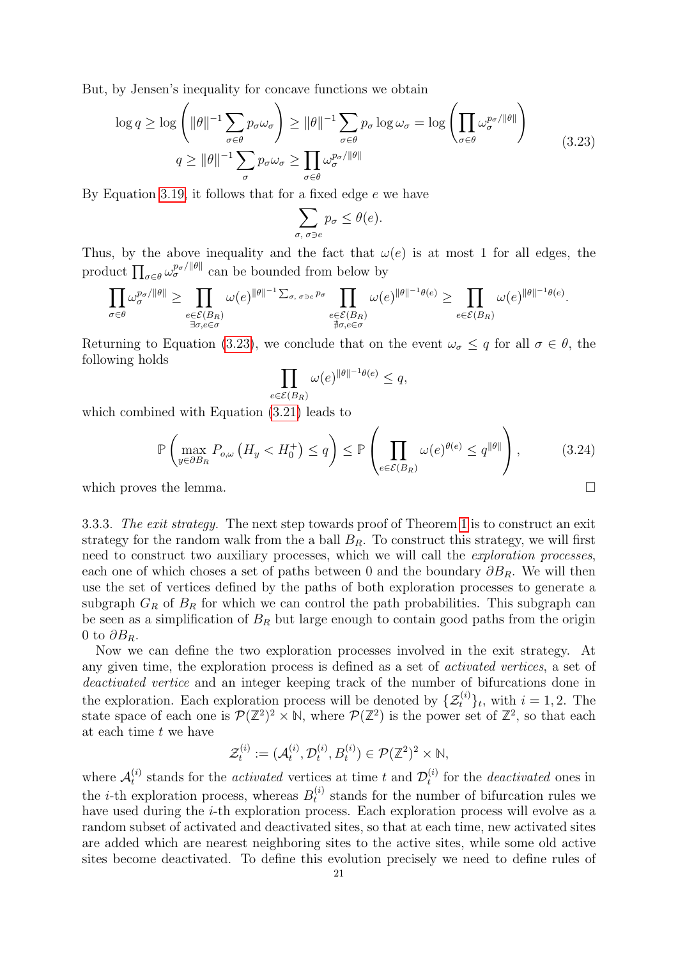But, by Jensen's inequality for concave functions we obtain

<span id="page-20-1"></span>
$$
\log q \ge \log \left( \|\theta\|^{-1} \sum_{\sigma \in \theta} p_{\sigma} \omega_{\sigma} \right) \ge \|\theta\|^{-1} \sum_{\sigma \in \theta} p_{\sigma} \log \omega_{\sigma} = \log \left( \prod_{\sigma \in \theta} \omega_{\sigma}^{p_{\sigma}/\|\theta\|} \right)
$$
\n
$$
q \ge \|\theta\|^{-1} \sum_{\sigma} p_{\sigma} \omega_{\sigma} \ge \prod_{\sigma \in \theta} \omega_{\sigma}^{p_{\sigma}/\|\theta\|} \tag{3.23}
$$

By Equation [3.19,](#page-19-1) it follows that for a fixed edge e we have

$$
\sum_{\sigma,\ \sigma \ni e} p_{\sigma} \leq \theta(e).
$$

Thus, by the above inequality and the fact that  $\omega(e)$  is at most 1 for all edges, the product  $\prod_{\sigma \in \theta} \omega_{\sigma}^{p_{\sigma}/\|\theta\|}$  can be bounded from below by

$$
\prod_{\sigma\in\theta}\omega_\sigma^{p_\sigma/\|\theta\|}\geq\prod_{\substack{e\in\mathcal{E}(B_R)\\ \exists\sigma,e\in\sigma}}\omega(e)^{\|\theta\|^{-1}\sum_{\sigma,\ \sigma\ni e}p_\sigma}\prod_{\substack{e\in\mathcal{E}(B_R)\\ \nexists\sigma,e\in\sigma}}\omega(e)^{\|\theta\|^{-1}\theta(e)}\geq\prod_{e\in\mathcal{E}(B_R)}\omega(e)^{\|\theta\|^{-1}\theta(e)}.
$$

Returning to Equation [\(3.23\)](#page-20-1), we conclude that on the event  $\omega_{\sigma} \leq q$  for all  $\sigma \in \theta$ , the following holds

$$
\prod_{e \in \mathcal{E}(B_R)} \omega(e)^{\|\theta\|^{-1}\theta(e)} \le q,
$$

which combined with Equation [\(3.21\)](#page-19-2) leads to

$$
\mathbb{P}\left(\max_{y\in\partial B_R} P_{o,\omega}\left(H_y < H_0^+\right) \le q\right) \le \mathbb{P}\left(\prod_{e\in\mathcal{E}(B_R)} \omega(e)^{\theta(e)} \le q^{\|\theta\|}\right),\tag{3.24}
$$

which proves the lemma.  $\Box$ 

<span id="page-20-0"></span>3.3.3. The exit strategy. The next step towards proof of Theorem [1](#page-3-5) is to construct an exit strategy for the random walk from the a ball  $B_R$ . To construct this strategy, we will first need to construct two auxiliary processes, which we will call the exploration processes, each one of which choses a set of paths between 0 and the boundary  $\partial B_R$ . We will then use the set of vertices defined by the paths of both exploration processes to generate a subgraph  $G_R$  of  $B_R$  for which we can control the path probabilities. This subgraph can be seen as a simplification of  $B_R$  but large enough to contain good paths from the origin 0 to  $\partial B_R$ .

Now we can define the two exploration processes involved in the exit strategy. At any given time, the exploration process is defined as a set of activated vertices, a set of deactivated vertice and an integer keeping track of the number of bifurcations done in the exploration. Each exploration process will be denoted by  $\{\mathcal{Z}_t^{(i)}\}_t$ , with  $i = 1, 2$ . The state space of each one is  $\mathcal{P}(\mathbb{Z}^2) \times \mathbb{N}$ , where  $\mathcal{P}(\mathbb{Z}^2)$  is the power set of  $\mathbb{Z}^2$ , so that each at each time t we have

$$
\mathcal{Z}_t^{(i)} := (\mathcal{A}_t^{(i)}, \mathcal{D}_t^{(i)}, B_t^{(i)}) \in \mathcal{P}(\mathbb{Z}^2)^2 \times \mathbb{N},
$$

where  $\mathcal{A}_t^{(i)}$  $t_t^{(i)}$  stands for the *activated* vertices at time t and  $\mathcal{D}_t^{(i)}$  $t_t^{(i)}$  for the *deactivated* ones in the *i*-th exploration process, whereas  $B_t^{(i)}$  $t_t^{(i)}$  stands for the number of bifurcation rules we have used during the *i*-th exploration process. Each exploration process will evolve as a random subset of activated and deactivated sites, so that at each time, new activated sites are added which are nearest neighboring sites to the active sites, while some old active sites become deactivated. To define this evolution precisely we need to define rules of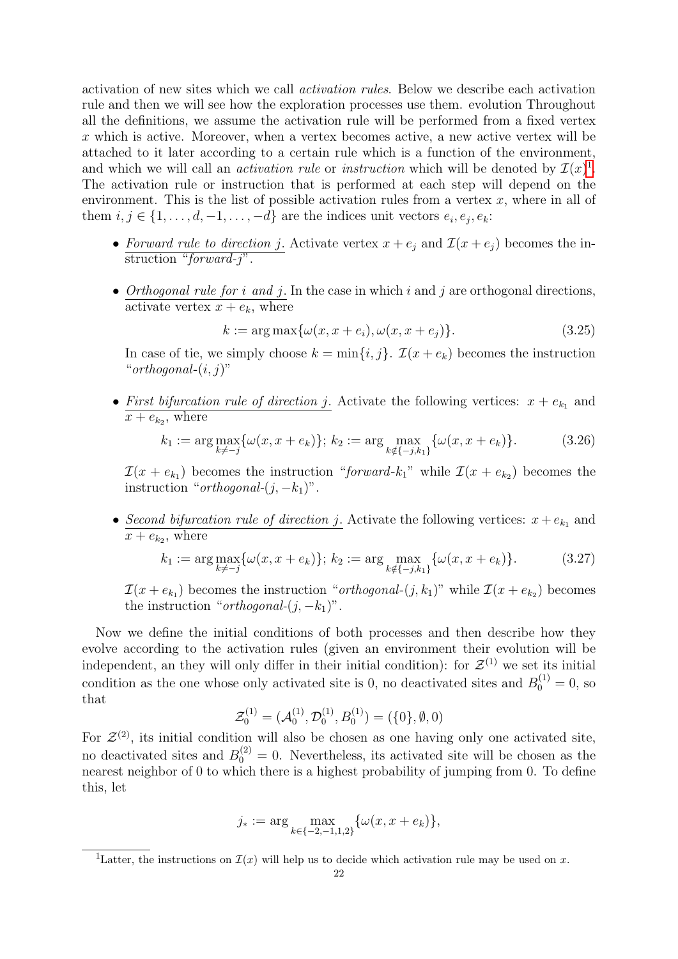activation of new sites which we call activation rules. Below we describe each activation rule and then we will see how the exploration processes use them. evolution Throughout all the definitions, we assume the activation rule will be performed from a fixed vertex  $x$  which is active. Moreover, when a vertex becomes active, a new active vertex will be attached to it later according to a certain rule which is a function of the environment, and which we will call an *activation rule* or *instruction* which will be denoted by  $\mathcal{I}(x)^{1}$  $\mathcal{I}(x)^{1}$  $\mathcal{I}(x)^{1}$ . The activation rule or instruction that is performed at each step will depend on the environment. This is the list of possible activation rules from a vertex  $x$ , where in all of them  $i, j \in \{1, \ldots, d, -1, \ldots, -d\}$  are the indices unit vectors  $e_i, e_j, e_k$ :

- Forward rule to direction j. Activate vertex  $x + e_j$  and  $\mathcal{I}(x + e_j)$  becomes the instruction "*forward-j*".
- Orthogonal rule for i and j. In the case in which i and j are orthogonal directions, activate vertex  $x + e_k$ , where

$$
k := \arg \max \{ \omega(x, x + e_i), \omega(x, x + e_j) \}.
$$
\n(3.25)

In case of tie, we simply choose  $k = \min\{i, j\}$ .  $\mathcal{I}(x + e_k)$  becomes the instruction " $orthogonal-(i, j)$ "

• First bifurcation rule of direction j. Activate the following vertices:  $x + e_{k_1}$  and  $x + e_{k_2}$ , where

$$
k_1 := \arg \max_{k \neq -j} \{ \omega(x, x + e_k) \}; k_2 := \arg \max_{k \notin \{-j, k_1\}} \{ \omega(x, x + e_k) \}. \tag{3.26}
$$

 $\mathcal{I}(x + e_{k_1})$  becomes the instruction "forward- $k_1$ " while  $\mathcal{I}(x + e_{k_2})$  becomes the instruction "*orthogonal-* $(j, -k_1)$ ".

• Second bifurcation rule of direction j. Activate the following vertices:  $x + e_{k_1}$  and  $x + e_{k_2}$ , where

$$
k_1 := \arg \max_{k \neq -j} \{ \omega(x, x + e_k) \}; k_2 := \arg \max_{k \notin \{-j, k_1\}} \{ \omega(x, x + e_k) \}. \tag{3.27}
$$

 $\mathcal{I}(x + e_{k_1})$  becomes the instruction "*orthogonal*- $(j, k_1)$ " while  $\mathcal{I}(x + e_{k_2})$  becomes the instruction "*orthogonal-* $(j, -k_1)$ ".

Now we define the initial conditions of both processes and then describe how they evolve according to the activation rules (given an environment their evolution will be independent, an they will only differ in their initial condition): for  $\mathcal{Z}^{(1)}$  we set its initial condition as the one whose only activated site is 0, no deactivated sites and  $B_0^{(1)} = 0$ , so that

$$
\mathcal{Z}_0^{(1)} = (\mathcal{A}_0^{(1)}, \mathcal{D}_0^{(1)}, B_0^{(1)}) = (\{0\}, \emptyset, 0)
$$

For  $\mathcal{Z}^{(2)}$ , its initial condition will also be chosen as one having only one activated site, no deactivated sites and  $B_0^{(2)} = 0$ . Nevertheless, its activated site will be chosen as the nearest neighbor of 0 to which there is a highest probability of jumping from 0. To define this, let

$$
j_* := \arg\max_{k \in \{-2, -1, 1, 2\}} \{\omega(x, x + e_k)\},\
$$

<span id="page-21-0"></span><sup>&</sup>lt;sup>1</sup>Latter, the instructions on  $\mathcal{I}(x)$  will help us to decide which activation rule may be used on x.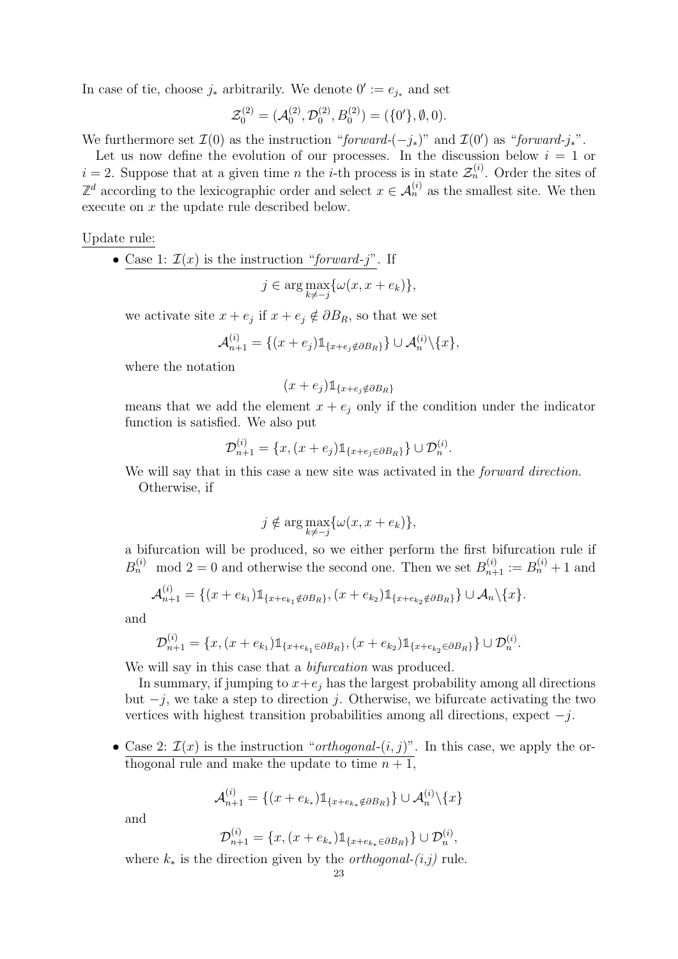In case of tie, choose  $j_*$  arbitrarily. We denote  $0' := e_{j_*}$  and set

$$
\mathcal{Z}_0^{(2)} = (\mathcal{A}_0^{(2)}, \mathcal{D}_0^{(2)}, B_0^{(2)}) = (\{0'\}, \emptyset, 0).
$$

We furthermore set  $\mathcal{I}(0)$  as the instruction "forward- $(-j_*)$ " and  $\mathcal{I}(0')$  as "forward- $j_*$ ".

Let us now define the evolution of our processes. In the discussion below  $i = 1$  or  $i = 2$ . Suppose that at a given time *n* the *i*-th process is in state  $\mathcal{Z}_n^{(i)}$ . Order the sites of  $\mathbb{Z}^d$  according to the lexicographic order and select  $x \in \mathcal{A}_n^{(i)}$  as the smallest site. We then execute on x the update rule described below.

Update rule:

• Case 1:  $\mathcal{I}(x)$  is the instruction "forward-j". If

$$
j \in \arg \max_{k \neq -j} \{ \omega(x, x + e_k) \},\
$$

we activate site  $x + e_j$  if  $x + e_j \notin \partial B_R$ , so that we set

$$
\mathcal{A}_{n+1}^{(i)} = \{(x+e_j)\mathbb{1}_{\{x+e_j \notin \partial B_R\}}\} \cup \mathcal{A}_n^{(i)}\backslash \{x\},\
$$

where the notation

$$
(x+e_j)\mathbb{1}_{\{x+e_j\notin \partial B_R\}}
$$

means that we add the element  $x + e_i$  only if the condition under the indicator function is satisfied. We also put

$$
\mathcal{D}_{n+1}^{(i)} = \{x, (x+e_j)\mathbb{1}_{\{x+e_j \in \partial B_R\}}\} \cup \mathcal{D}_n^{(i)}.
$$

We will say that in this case a new site was activated in the *forward direction*. Otherwise, if

$$
j \notin \arg \max_{k \neq -j} \{ \omega(x, x + e_k) \},\
$$

a bifurcation will be produced, so we either perform the first bifurcation rule if  $B_n^{(i)}$  mod  $2 = 0$  and otherwise the second one. Then we set  $B_{n+1}^{(i)} := B_n^{(i)} + 1$  and

$$
\mathcal{A}_{n+1}^{(i)} = \{(x + e_{k_1})\mathbb{1}_{\{x + e_{k_1} \notin \partial B_R\}}, (x + e_{k_2})\mathbb{1}_{\{x + e_{k_2} \notin \partial B_R\}}\} \cup \mathcal{A}_n \setminus \{x\}.
$$

and

$$
\mathcal{D}_{n+1}^{(i)} = \{x, (x + e_{k_1})\mathbb{1}_{\{x + e_{k_1} \in \partial B_R\}}, (x + e_{k_2})\mathbb{1}_{\{x + e_{k_2} \in \partial B_R\}}\} \cup \mathcal{D}_n^{(i)}.
$$

We will say in this case that a *bifurcation* was produced.

In summary, if jumping to  $x+e_j$  has the largest probability among all directions but  $-j$ , we take a step to direction j. Otherwise, we bifurcate activating the two vertices with highest transition probabilities among all directions, expect  $-j$ .

• Case 2:  $\mathcal{I}(x)$  is the instruction "*orthogonal*- $(i, j)$ ". In this case, we apply the orthogonal rule and make the update to time  $n + 1$ ,

$$
\mathcal{A}_{n+1}^{(i)} = \{(x+e_{k_*})\mathbb{1}_{\{x+e_{k_*}\notin \partial B_R\}}\} \cup \mathcal{A}_n^{(i)}\backslash \{x\}
$$

and

$$
\mathcal{D}_{n+1}^{(i)} = \{x, (x + e_{k_*})1\!\!1_{\{x + e_{k_*} \in \partial B_R\}} \} \cup \mathcal{D}_n^{(i)},
$$

where  $k_*$  is the direction given by the *orthogonal-* $(i,j)$  rule.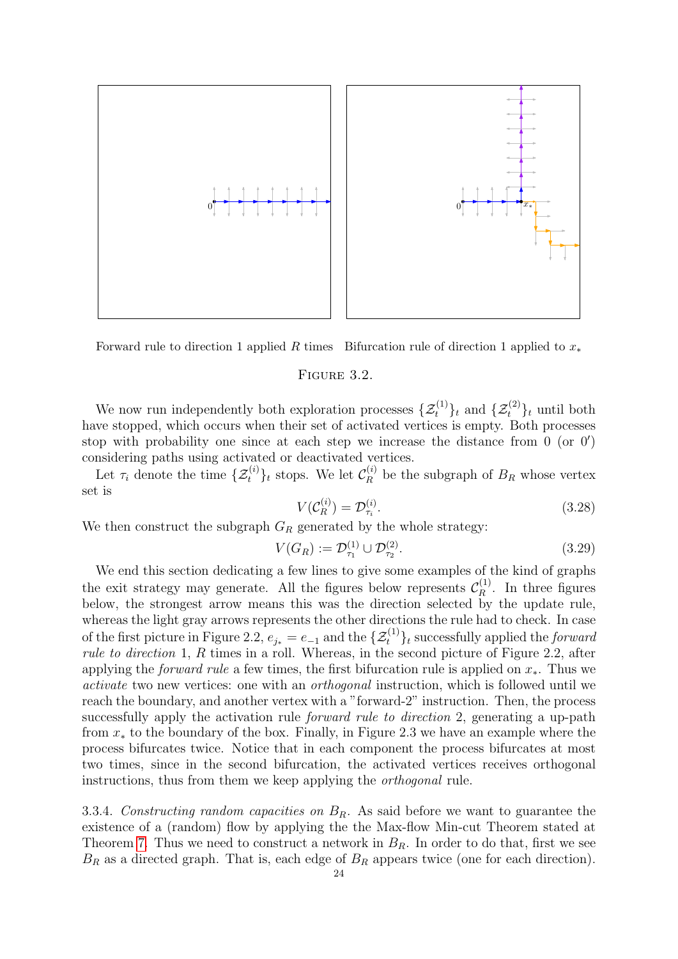

Forward rule to direction 1 applied R times Bifurcation rule of direction 1 applied to  $x_*$ 

#### FIGURE 3.2.

We now run independently both exploration processes  $\{\mathcal{Z}_t^{(1)}\}_t$  and  $\{\mathcal{Z}_t^{(2)}\}_t$  until both have stopped, which occurs when their set of activated vertices is empty. Both processes stop with probability one since at each step we increase the distance from  $0$  (or  $0'$ ) considering paths using activated or deactivated vertices.

Let  $\tau_i$  denote the time  $\{\mathcal{Z}_t^{(i)}\}_t$  stops. We let  $\mathcal{C}_R^{(i)}$  be the subgraph of  $B_R$  whose vertex set is

$$
V(\mathcal{C}_R^{(i)}) = \mathcal{D}_{\tau_i}^{(i)}.\tag{3.28}
$$

We then construct the subgraph  $G_R$  generated by the whole strategy:

$$
V(G_R) := \mathcal{D}_{\tau_1}^{(1)} \cup \mathcal{D}_{\tau_2}^{(2)}.
$$
\n(3.29)

We end this section dedicating a few lines to give some examples of the kind of graphs the exit strategy may generate. All the figures below represents  $\mathcal{C}_R^{(1)}$  $\int_R^{(1)}$ . In three figures below, the strongest arrow means this was the direction selected by the update rule, whereas the light gray arrows represents the other directions the rule had to check. In case of the first picture in Figure 2.2,  $e_{j*} = e_{-1}$  and the  $\{\mathcal{Z}^{(1)}_t\}_t$  successfully applied the *forward* rule to direction 1, R times in a roll. Whereas, in the second picture of Figure 2.2, after applying the *forward rule* a few times, the first bifurcation rule is applied on  $x_*$ . Thus we activate two new vertices: one with an orthogonal instruction, which is followed until we reach the boundary, and another vertex with a "forward-2" instruction. Then, the process successfully apply the activation rule forward rule to direction 2, generating a up-path from x<sup>∗</sup> to the boundary of the box. Finally, in Figure 2.3 we have an example where the process bifurcates twice. Notice that in each component the process bifurcates at most two times, since in the second bifurcation, the activated vertices receives orthogonal instructions, thus from them we keep applying the orthogonal rule.

<span id="page-23-0"></span>3.3.4. Constructing random capacities on  $B_R$ . As said before we want to guarantee the existence of a (random) flow by applying the the Max-flow Min-cut Theorem stated at Theorem [7.](#page-18-3) Thus we need to construct a network in  $B_R$ . In order to do that, first we see  $B_R$  as a directed graph. That is, each edge of  $B_R$  appears twice (one for each direction).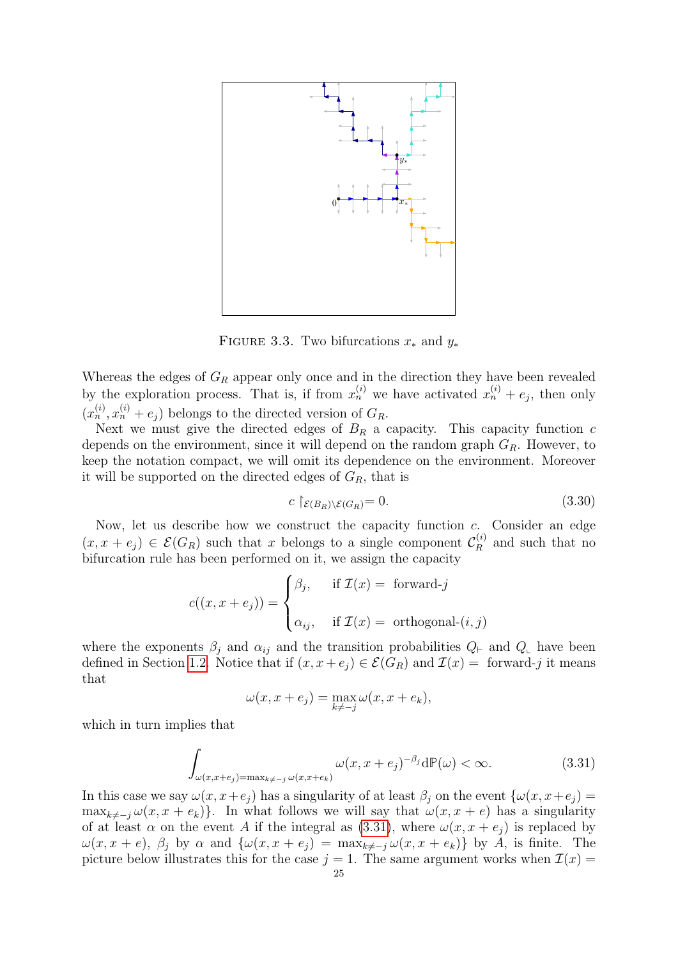

FIGURE 3.3. Two bifurcations  $x_*$  and  $y_*$ 

Whereas the edges of  $G_R$  appear only once and in the direction they have been revealed by the exploration process. That is, if from  $x_n^{(i)}$  we have activated  $x_n^{(i)} + e_j$ , then only  $(x_n^{(i)}, x_n^{(i)} + e_j)$  belongs to the directed version of  $G_R$ .

Next we must give the directed edges of  $B_R$  a capacity. This capacity function c depends on the environment, since it will depend on the random graph  $G_R$ . However, to keep the notation compact, we will omit its dependence on the environment. Moreover it will be supported on the directed edges of  $G_R$ , that is

$$
c \upharpoonright_{\mathcal{E}(B_R)\backslash \mathcal{E}(G_R)} = 0. \tag{3.30}
$$

Now, let us describe how we construct the capacity function c. Consider an edge  $(x, x + e_j) \in \mathcal{E}(G_R)$  such that x belongs to a single component  $\mathcal{C}_R^{(i)}$  $\mathbb{R}^{(i)}$  and such that no bifurcation rule has been performed on it, we assign the capacity

$$
c((x, x + e_j)) = \begin{cases} \beta_j, & \text{if } \mathcal{I}(x) = \text{ forward-}j \\ \alpha_{ij}, & \text{if } \mathcal{I}(x) = \text{ orthogonal-}(i, j) \end{cases}
$$

where the exponents  $\beta_j$  and  $\alpha_{ij}$  and the transition probabilities  $Q_{\vdash}$  and  $Q_{\vdash}$  have been defined in Section [1.2.](#page-3-6) Notice that if  $(x, x + e_j) \in \mathcal{E}(G_R)$  and  $\mathcal{I}(x) = \text{forward-}j$  it means that

$$
\omega(x, x + e_j) = \max_{k \neq -j} \omega(x, x + e_k),
$$

which in turn implies that

<span id="page-24-0"></span>
$$
\int_{\omega(x,x+e_j)=\max_{k\neq j}\omega(x,x+e_k)} \omega(x,x+e_j)^{-\beta_j} d\mathbb{P}(\omega) < \infty.
$$
 (3.31)

In this case we say  $\omega(x, x+e_j)$  has a singularity of at least  $\beta_j$  on the event  $\{\omega(x, x+e_j) =$  $\max_{k\neq -j}\omega(x, x + e_k)$ . In what follows we will say that  $\omega(x, x + e)$  has a singularity of at least  $\alpha$  on the event A if the integral as [\(3.31\)](#page-24-0), where  $\omega(x, x + e_j)$  is replaced by  $\omega(x, x + e), \beta_j$  by  $\alpha$  and  $\{\omega(x, x + e_j) = \max_{k \neq j} \omega(x, x + e_k)\}\$  by A, is finite. The picture below illustrates this for the case  $j = 1$ . The same argument works when  $\mathcal{I}(x) =$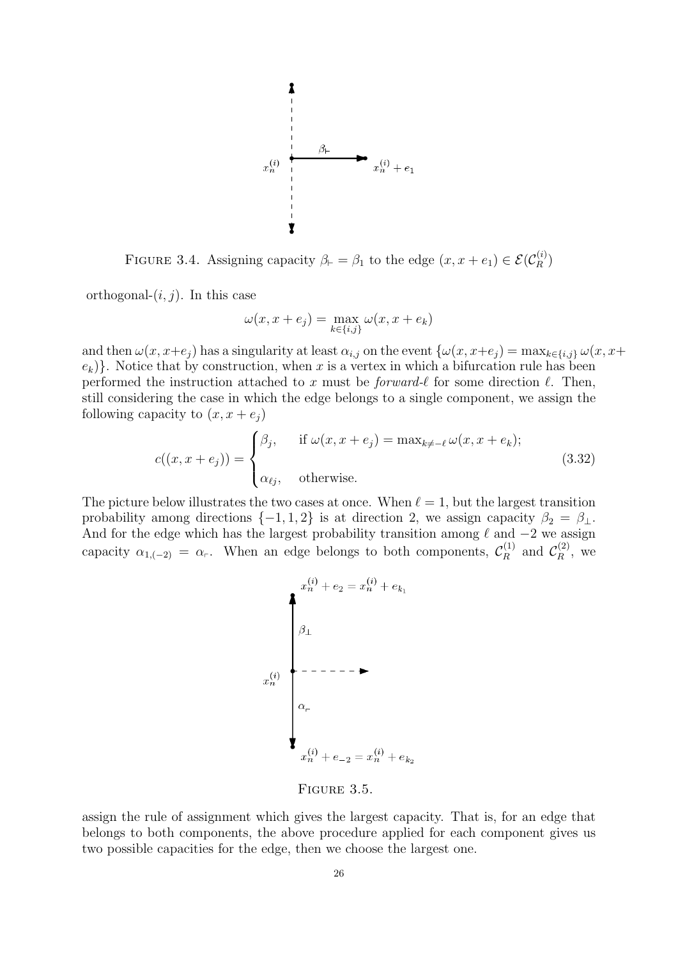

FIGURE 3.4. Assigning capacity  $\beta_{\vdash} = \beta_1$  to the edge  $(x, x + e_1) \in \mathcal{E}(\mathcal{C}_R^{(i)})$  $\binom{[i]}{R}$ 

orthogonal- $(i, j)$ . In this case

$$
\omega(x, x + e_j) = \max_{k \in \{i, j\}} \omega(x, x + e_k)
$$

and then  $\omega(x, x+e_j)$  has a singularity at least  $\alpha_{i,j}$  on the event  $\{\omega(x, x+e_j) = \max_{k \in \{i,j\}} \omega(x, x+e_j)\}$  $e_k$ }. Notice that by construction, when x is a vertex in which a bifurcation rule has been performed the instruction attached to x must be *forward-* $\ell$  for some direction  $\ell$ . Then, still considering the case in which the edge belongs to a single component, we assign the following capacity to  $(x, x + e_j)$ 

$$
c((x, x + e_j)) = \begin{cases} \beta_j, & \text{if } \omega(x, x + e_j) = \max_{k \neq -\ell} \omega(x, x + e_k); \\ \alpha_{\ell j}, & \text{otherwise.} \end{cases} \tag{3.32}
$$

The picture below illustrates the two cases at once. When  $\ell = 1$ , but the largest transition probability among directions  $\{-1, 1, 2\}$  is at direction 2, we assign capacity  $\beta_2 = \beta_1$ . And for the edge which has the largest probability transition among  $\ell$  and  $-2$  we assign capacity  $\alpha_{1,(-2)} = \alpha_r$ . When an edge belongs to both components,  $\mathcal{C}_R^{(1)}$  $\mathcal{C}_R^{(1)}$  and  $\mathcal{C}_R^{(2)}$  $\mathbb{R}^{(2)}$ , we



<span id="page-25-0"></span>FIGURE 3.5.

assign the rule of assignment which gives the largest capacity. That is, for an edge that belongs to both components, the above procedure applied for each component gives us two possible capacities for the edge, then we choose the largest one.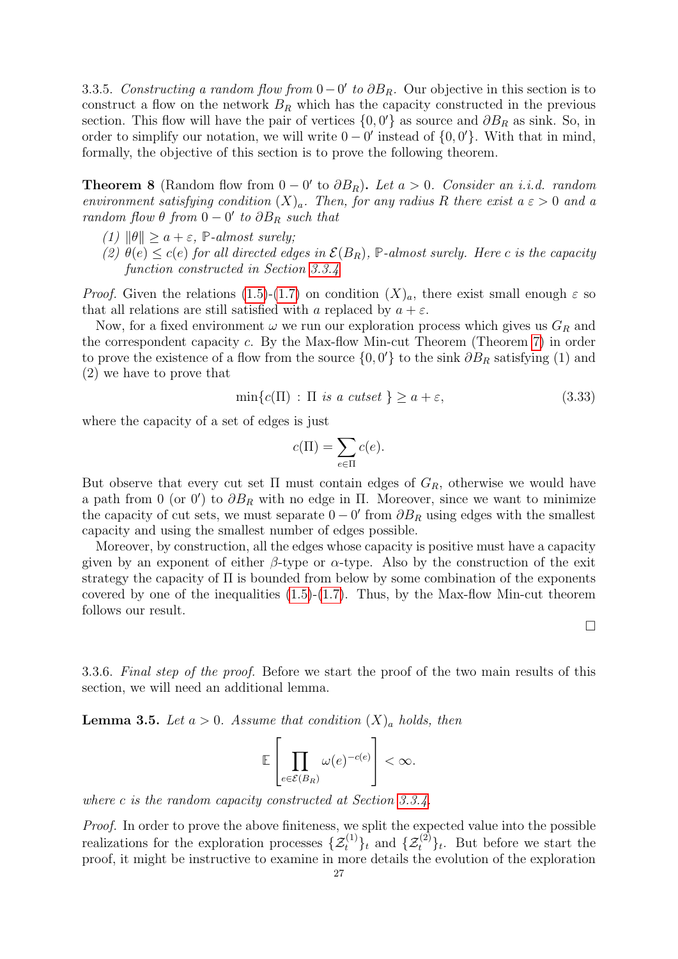3.3.5. Constructing a random flow from  $0 - 0'$  to  $\partial B_R$ . Our objective in this section is to construct a flow on the network  $B_R$  which has the capacity constructed in the previous section. This flow will have the pair of vertices  $\{0, 0'\}$  as source and  $\partial B_R$  as sink. So, in order to simplify our notation, we will write  $0 - 0'$  instead of  $\{0, 0'\}$ . With that in mind, formally, the objective of this section is to prove the following theorem.

<span id="page-26-0"></span>**Theorem 8** (Random flow from  $0 - 0'$  to  $\partial B_R$ ). Let  $a > 0$ . Consider an i.i.d. random environment satisfying condition  $(X)_a$ . Then, for any radius R there exist  $a \varepsilon > 0$  and a random flow  $\theta$  from  $0 - 0'$  to  $\partial B_R$  such that

- (1)  $\|\theta\| \ge a + \varepsilon$ , **P**-almost surely;
- (2)  $\theta(e) \leq c(e)$  for all directed edges in  $\mathcal{E}(B_R)$ , **P**-almost surely. Here c is the capacity function constructed in Section [3.3.4](#page-23-0)

*Proof.* Given the relations [\(1.5\)](#page-3-0)-[\(1.7\)](#page-3-3) on condition  $(X)_a$ , there exist small enough  $\varepsilon$  so that all relations are still satisfied with a replaced by  $a + \varepsilon$ .

Now, for a fixed environment  $\omega$  we run our exploration process which gives us  $G_R$  and the correspondent capacity c. By the Max-flow Min-cut Theorem (Theorem [7\)](#page-18-3) in order to prove the existence of a flow from the source  $\{0, 0'\}$  to the sink  $\partial B_R$  satisfying (1) and (2) we have to prove that

$$
\min\{c(\Pi) : \Pi \text{ is a cutset } \} \ge a + \varepsilon,\tag{3.33}
$$

where the capacity of a set of edges is just

$$
c(\Pi) = \sum_{e \in \Pi} c(e).
$$

But observe that every cut set  $\Pi$  must contain edges of  $G_R$ , otherwise we would have a path from 0 (or 0') to  $\partial B_R$  with no edge in  $\Pi$ . Moreover, since we want to minimize the capacity of cut sets, we must separate  $0 - 0'$  from  $\partial B_R$  using edges with the smallest capacity and using the smallest number of edges possible.

Moreover, by construction, all the edges whose capacity is positive must have a capacity given by an exponent of either  $\beta$ -type or  $\alpha$ -type. Also by the construction of the exit strategy the capacity of Π is bounded from below by some combination of the exponents covered by one of the inequalities  $(1.5)-(1.7)$  $(1.5)-(1.7)$  $(1.5)-(1.7)$ . Thus, by the Max-flow Min-cut theorem follows our result.

3.3.6. Final step of the proof. Before we start the proof of the two main results of this section, we will need an additional lemma.

<span id="page-26-1"></span>**Lemma 3.5.** Let  $a > 0$ . Assume that condition  $(X)_a$  holds, then

$$
\mathbb{E}\left[\prod_{e\in\mathcal{E}(B_R)}\omega(e)^{-c(e)}\right]<\infty.
$$

where c is the random capacity constructed at Section [3.3.4.](#page-23-0)

Proof. In order to prove the above finiteness, we split the expected value into the possible realizations for the exploration processes  $\{\mathcal{Z}_t^{(1)}\}_t$  and  $\{\mathcal{Z}_t^{(2)}\}_t$ . But before we start the proof, it might be instructive to examine in more details the evolution of the exploration

 $\Box$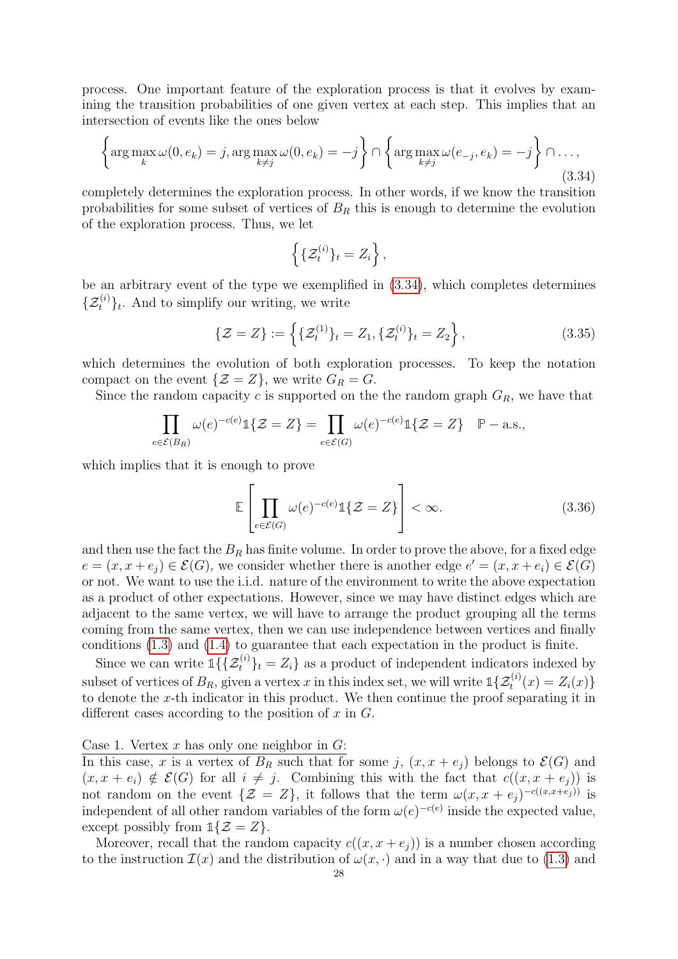process. One important feature of the exploration process is that it evolves by examining the transition probabilities of one given vertex at each step. This implies that an intersection of events like the ones below

<span id="page-27-0"></span>
$$
\left\{\arg\max_{k}\omega(0,e_k)=j,\arg\max_{k\neq j}\omega(0,e_k)=-j\right\}\cap\left\{\arg\max_{k\neq j}\omega(e_{-j},e_k)=-j\right\}\cap\ldots,
$$
\n(3.34)

completely determines the exploration process. In other words, if we know the transition probabilities for some subset of vertices of  $B_R$  this is enough to determine the evolution of the exploration process. Thus, we let

$$
\left\{\{\mathcal{Z}_t^{(i)}\}_t = Z_i\right\},\
$$

be an arbitrary event of the type we exemplified in [\(3.34\)](#page-27-0), which completes determines  $\{\mathcal{Z}_t^{(i)}\}_t$ . And to simplify our writing, we write

$$
\{\mathcal{Z} = Z\} := \left\{ \{\mathcal{Z}_t^{(1)}\}_t = Z_1, \{\mathcal{Z}_t^{(i)}\}_t = Z_2 \right\},\tag{3.35}
$$

which determines the evolution of both exploration processes. To keep the notation compact on the event  $\{\mathcal{Z} = Z\}$ , we write  $G_R = G$ .

Since the random capacity c is supported on the the random graph  $G_R$ , we have that

$$
\prod_{e \in \mathcal{E}(B_R)} \omega(e)^{-c(e)} \mathbb{1}\{\mathcal{Z} = Z\} = \prod_{e \in \mathcal{E}(G)} \omega(e)^{-c(e)} \mathbb{1}\{\mathcal{Z} = Z\} \quad \mathbb{P}-\text{a.s.},
$$

which implies that it is enough to prove

<span id="page-27-1"></span>
$$
\mathbb{E}\left[\prod_{e\in\mathcal{E}(G)}\omega(e)^{-c(e)}\mathbb{1}\{\mathcal{Z}=Z\}\right]<\infty.
$$
\n(3.36)

and then use the fact the  $B_R$  has finite volume. In order to prove the above, for a fixed edge  $e = (x, x + e_j) \in \mathcal{E}(G)$ , we consider whether there is another edge  $e' = (x, x + e_i) \in \mathcal{E}(G)$ or not. We want to use the i.i.d. nature of the environment to write the above expectation as a product of other expectations. However, since we may have distinct edges which are adjacent to the same vertex, we will have to arrange the product grouping all the terms coming from the same vertex, then we can use independence between vertices and finally conditions [\(1.3\)](#page-3-2) and [\(1.4\)](#page-3-4) to guarantee that each expectation in the product is finite.

Since we can write  $\mathbb{1}\{\{\mathcal{Z}_t^{(i)}\}_t = Z_i\}$  as a product of independent indicators indexed by subset of vertices of  $B_R$ , given a vertex x in this index set, we will write  $\mathbb{1}\{\mathcal{Z}_t^{(i)}(x) = Z_i(x)\}\$ to denote the x-th indicator in this product. We then continue the proof separating it in different cases according to the position of  $x$  in  $G$ .

Case 1. Vertex  $x$  has only one neighbor in  $G$ :

In this case, x is a vertex of  $B_R$  such that for some j,  $(x, x + e_j)$  belongs to  $\mathcal{E}(G)$  and  $(x, x + e_i) \notin \mathcal{E}(G)$  for all  $i \neq j$ . Combining this with the fact that  $c((x, x + e_i))$  is not random on the event  $\{\mathcal{Z} = Z\}$ , it follows that the term  $\omega(x, x + e_j)^{-c((x, x+e_j))}$  is independent of all other random variables of the form  $\omega(e)^{-c(e)}$  inside the expected value, except possibly from  $\mathbb{1}{Z = Z}$ .

Moreover, recall that the random capacity  $c((x, x + e_i))$  is a number chosen according to the instruction  $\mathcal{I}(x)$  and the distribution of  $\omega(x, \cdot)$  and in a way that due to [\(1.3\)](#page-3-2) and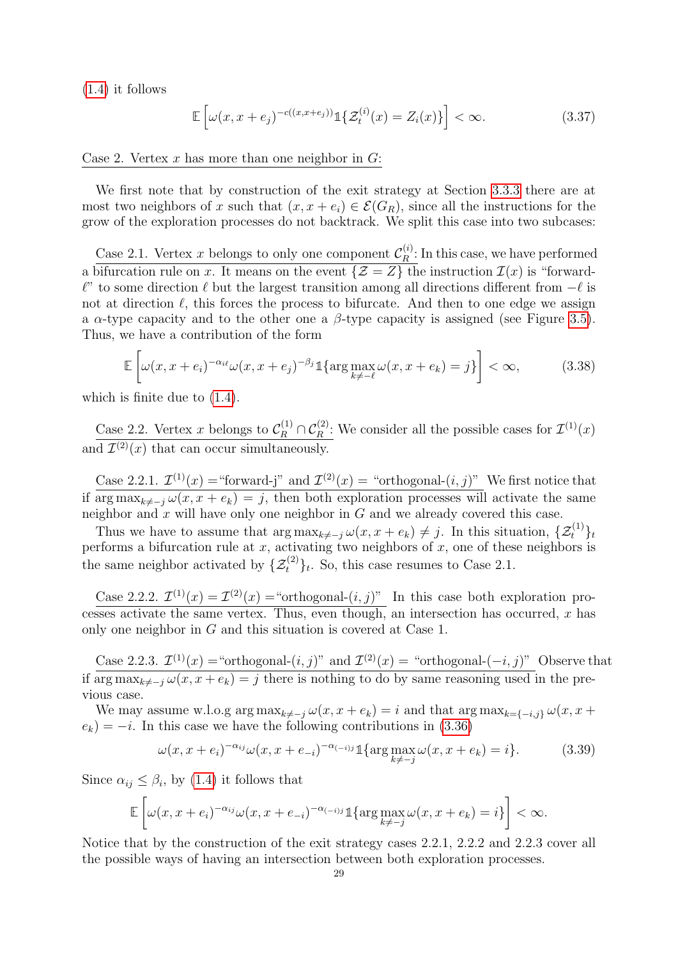[\(1.4\)](#page-3-4) it follows

<span id="page-28-0"></span>
$$
\mathbb{E}\left[\omega(x,x+e_j)^{-c((x,x+e_j))}\mathbb{1}\{\mathcal{Z}_t^{(i)}(x)=Z_i(x)\}\right]<\infty.
$$
\n(3.37)

Case 2. Vertex  $x$  has more than one neighbor in  $G$ :

We first note that by construction of the exit strategy at Section [3.3.3](#page-20-0) there are at most two neighbors of x such that  $(x, x + e_i) \in \mathcal{E}(G_R)$ , since all the instructions for the grow of the exploration processes do not backtrack. We split this case into two subcases:

Case 2.1. Vertex x belongs to only one component  $\mathcal{C}_R^{(i)}$  $R^{(i)}$ : In this case, we have performed a bifurcation rule on x. It means on the event  $\{\mathcal{Z} = Z\}$  the instruction  $\mathcal{I}(x)$  is "forward- $\ell$ " to some direction  $\ell$  but the largest transition among all directions different from  $-\ell$  is not at direction  $\ell$ , this forces the process to bifurcate. And then to one edge we assign a  $\alpha$ -type capacity and to the other one a  $\beta$ -type capacity is assigned (see Figure [3.5\)](#page-25-0). Thus, we have a contribution of the form

<span id="page-28-1"></span>
$$
\mathbb{E}\left[\omega(x,x+e_i)^{-\alpha_{i\ell}}\omega(x,x+e_j)^{-\beta_j}\mathbb{1}\{\arg\max_{k\ne-\ell}\omega(x,x+e_k)=j\}\right]<\infty,
$$
\n(3.38)

which is finite due to  $(1.4)$ .

Case 2.2. Vertex x belongs to  $\mathcal{C}_R^{(1)} \cap \mathcal{C}_R^{(2)}$ : We consider all the possible cases for  $\mathcal{I}^{(1)}(x)$ and  $\mathcal{I}^{(2)}(x)$  that can occur simultaneously.

Case 2.2.1.  $\mathcal{I}^{(1)}(x) =$  "forward-j" and  $\mathcal{I}^{(2)}(x) =$  "orthogonal- $(i, j)$ " We first notice that if  $arg \max_{k \neq -j} \omega(x, x + e_k) = j$ , then both exploration processes will activate the same neighbor and  $x$  will have only one neighbor in  $G$  and we already covered this case.

Thus we have to assume that  $\arg \max_{k \neq -j} \omega(x, x + e_k) \neq j$ . In this situation,  $\{\mathcal{Z}_t^{(1)}\}_t$ performs a bifurcation rule at  $x$ , activating two neighbors of  $x$ , one of these neighbors is the same neighbor activated by  $\{\mathcal{Z}^{(2)}_t\}_t$ . So, this case resumes to Case 2.1.

Case 2.2.2.  $\mathcal{I}^{(1)}(x) = \mathcal{I}^{(2)}(x) =$  "orthogonal- $(i, j)$ " In this case both exploration processes activate the same vertex. Thus, even though, an intersection has occurred,  $x$  has only one neighbor in G and this situation is covered at Case 1.

Case 2.2.3.  $\mathcal{I}^{(1)}(x) =$ "orthogonal- $(i, j)$ " and  $\mathcal{I}^{(2)}(x) =$  "orthogonal- $(-i, j)$ " Observe that if arg  $\max_{k\neq j}\omega(x, x + e_k) = j$  there is nothing to do by same reasoning used in the previous case.

We may assume w.l.o.g  $\arg \max_{k \neq -j} \omega(x, x + e_k) = i$  and that  $\arg \max_{k=\{-i,j\}} \omega(x, x + e_k)$  $e_k$ ) = −*i*. In this case we have the following contributions in [\(3.36\)](#page-27-1)

<span id="page-28-2"></span>
$$
\omega(x, x + e_i)^{-\alpha_{ij}} \omega(x, x + e_{-i})^{-\alpha_{(-i)j}} \mathbb{1}\{\arg \max_{k \neq -j} \omega(x, x + e_k) = i\}.
$$
 (3.39)

Since  $\alpha_{ij} \leq \beta_i$ , by [\(1.4\)](#page-3-4) it follows that

$$
\mathbb{E}\left[\omega(x,x+e_i)^{-\alpha_{ij}}\omega(x,x+e_{-i})^{-\alpha_{(-i)j}}\mathbb{1}\{\arg\max_{k\neq j}\omega(x,x+e_k)=i\}\right]<\infty.
$$

Notice that by the construction of the exit strategy cases 2.2.1, 2.2.2 and 2.2.3 cover all the possible ways of having an intersection between both exploration processes.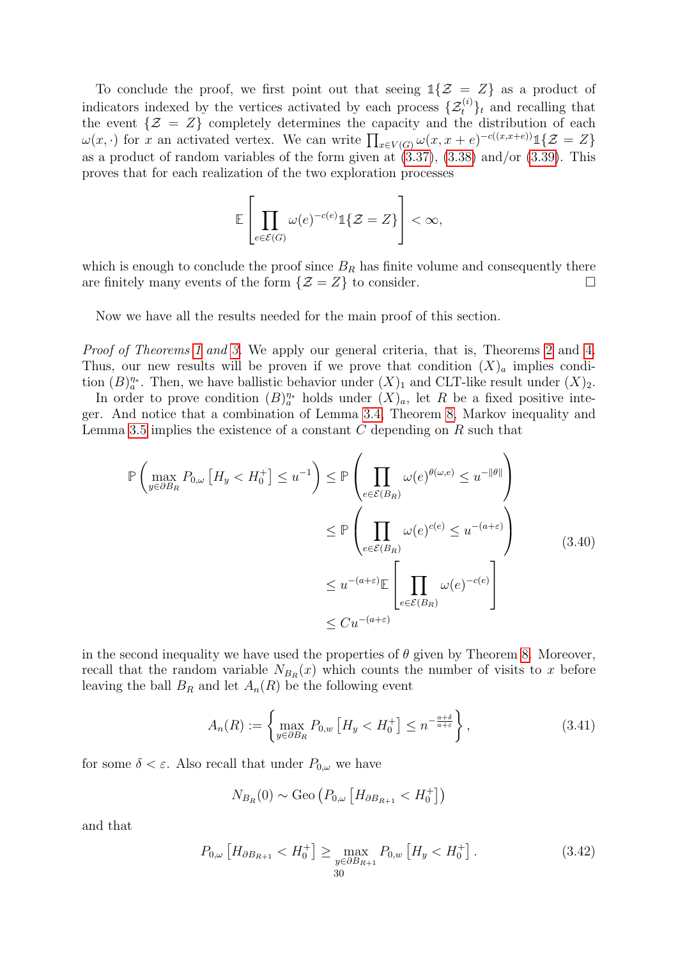To conclude the proof, we first point out that seeing  $\mathbb{1}{Z = Z}$  as a product of indicators indexed by the vertices activated by each process  $\{\mathcal{Z}_t^{(i)}\}_t$  and recalling that the event  $\{\mathcal{Z} = Z\}$  completely determines the capacity and the distribution of each  $\omega(x, \cdot)$  for x an activated vertex. We can write  $\prod_{x \in V(G)} \omega(x, x + e)^{-c((x, x+e))} \mathbb{1}\{\mathcal{Z} = Z\}$ as a product of random variables of the form given at  $(3.37)$ ,  $(3.38)$  and/or  $(3.39)$ . This proves that for each realization of the two exploration processes

$$
\mathbb{E}\left[\prod_{e\in\mathcal{E}(G)}\omega(e)^{-c(e)}\mathbb{1}\{\mathcal{Z}=Z\}\right]<\infty,
$$

which is enough to conclude the proof since  $B_R$  has finite volume and consequently there are finitely many events of the form  $\{\mathcal{Z} = Z\}$  to consider.

Now we have all the results needed for the main proof of this section.

Proof of Theorems [1](#page-3-5) and [3.](#page-6-1) We apply our general criteria, that is, Theorems [2](#page-5-1) and [4.](#page-6-2) Thus, our new results will be proven if we prove that condition  $(X)_a$  implies condition  $(B)_{a}^{\eta*}$ . Then, we have ballistic behavior under  $(X)_{1}$  and CLT-like result under  $(X)_{2}$ .

In order to prove condition  $(B)_{a}^{\eta_*}$  holds under  $(X)_{a}$ , let R be a fixed positive integer. And notice that a combination of Lemma [3.4,](#page-19-0) Theorem [8,](#page-26-0) Markov inequality and Lemma [3.5](#page-26-1) implies the existence of a constant  $C$  depending on  $R$  such that

$$
\mathbb{P}\left(\max_{y\in\partial B_R} P_{0,\omega} \left[H_y < H_0^+\right] \le u^{-1}\right) \le \mathbb{P}\left(\prod_{e\in\mathcal{E}(B_R)} \omega(e)^{\theta(\omega,e)} \le u^{-\|\theta\|}\right)
$$
\n
$$
\le \mathbb{P}\left(\prod_{e\in\mathcal{E}(B_R)} \omega(e)^{c(e)} \le u^{-(a+\varepsilon)}\right)
$$
\n
$$
\le u^{-(a+\varepsilon)}\mathbb{E}\left[\prod_{e\in\mathcal{E}(B_R)} \omega(e)^{-c(e)}\right]
$$
\n
$$
\le Cu^{-(a+\varepsilon)}\right) \tag{3.40}
$$

in the second inequality we have used the properties of  $\theta$  given by Theorem [8.](#page-26-0) Moreover, recall that the random variable  $N_{B_R}(x)$  which counts the number of visits to x before leaving the ball  $B_R$  and let  $A_n(R)$  be the following event

$$
A_n(R) := \left\{ \max_{y \in \partial B_R} P_{0,w} \left[ H_y < H_0^+ \right] \le n^{-\frac{a+\delta}{a+\varepsilon}} \right\},\tag{3.41}
$$

for some  $\delta < \varepsilon$ . Also recall that under  $P_{0,\omega}$  we have

$$
N_{B_R}(0) \sim \text{Geo}\left(P_{0,\omega}\left[H_{\partial B_{R+1}} < H_0^+\right]\right)
$$

and that

$$
P_{0,\omega}\left[H_{\partial B_{R+1}} < H_0^+\right] \ge \max_{\substack{y \in \partial B_{R+1} \\ 30}} P_{0,w}\left[H_y < H_0^+\right].\tag{3.42}
$$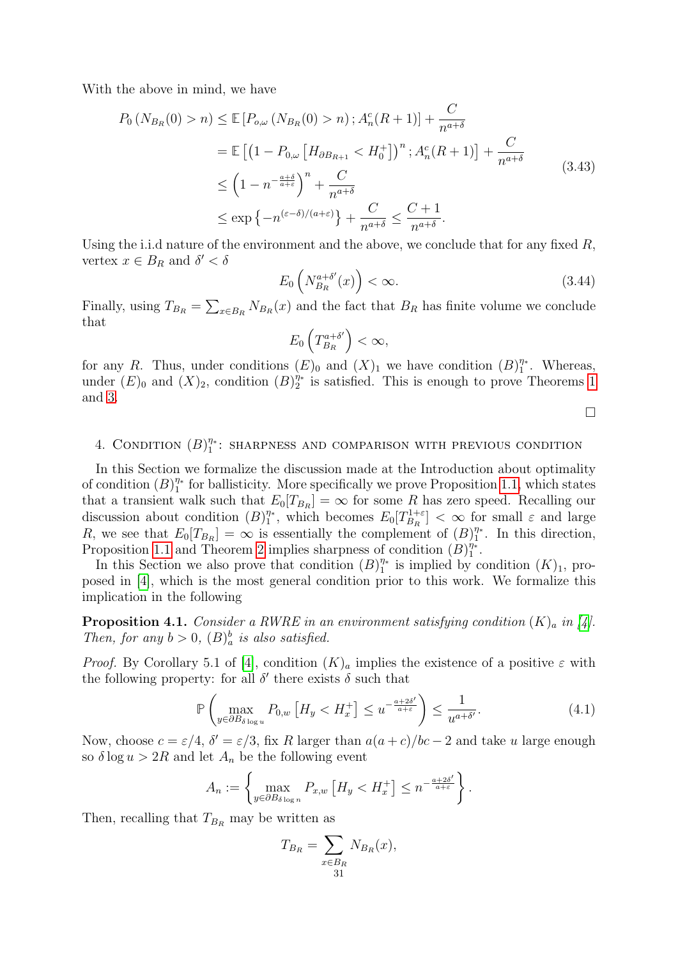With the above in mind, we have

$$
P_0\left(N_{B_R}(0) > n\right) \le \mathbb{E}\left[P_{o,\omega}\left(N_{B_R}(0) > n\right); A_n^c(R+1)\right] + \frac{C}{n^{a+\delta}}
$$
  
\n
$$
= \mathbb{E}\left[\left(1 - P_{0,\omega}\left[H_{\partial B_{R+1}} < H_0^+\right]\right)^n; A_n^c(R+1)\right] + \frac{C}{n^{a+\delta}}
$$
  
\n
$$
\le \left(1 - n^{-\frac{a+\delta}{a+\varepsilon}}\right)^n + \frac{C}{n^{a+\delta}}
$$
  
\n
$$
\le \exp\left\{-n^{(\varepsilon-\delta)/(a+\varepsilon)}\right\} + \frac{C}{n^{a+\delta}} \le \frac{C+1}{n^{a+\delta}}.
$$
\n(3.43)

Using the i.i.d nature of the environment and the above, we conclude that for any fixed  $R$ , vertex  $x \in B_R$  and  $\delta' < \delta$ 

$$
E_0\left(N_{B_R}^{a+\delta'}(x)\right) < \infty. \tag{3.44}
$$

Finally, using  $T_{B_R} = \sum_{x \in B_R} N_{B_R}(x)$  and the fact that  $B_R$  has finite volume we conclude that

$$
E_0\left(T_{B_R}^{a+\delta'}\right)<\infty,
$$

for any R. Thus, under conditions  $(E)_0$  and  $(X)_1$  we have condition  $(B)_1^{\eta_*}$  $\int_{1}^{\eta_*}$ . Whereas, under  $(E)_0$  and  $(X)_2$ , condition  $(B)_2^{\eta_*}$  $\frac{\eta_*}{2}$  is satisfied. This is enough to prove Theorems [1](#page-3-5) and [3.](#page-6-1)

 $\Box$ 

#### <span id="page-30-0"></span>4. CONDITION  $(B)_{1}^{\eta*}$  $\eta^*$  : SHARPNESS AND COMPARISON WITH PREVIOUS CONDITION

In this Section we formalize the discussion made at the Introduction about optimality of condition  $(B)_{1}^{\eta_*}$  $\frac{\eta_*}{1}$  for ballisticity. More specifically we prove Proposition [1.1,](#page-5-2) which states that a transient walk such that  $E_0[T_{B_R}] = \infty$  for some R has zero speed. Recalling our discussion about condition  $(B)_{1}^{\eta*}$  $T_1^{\eta_*}$ , which becomes  $E_0[T_{B_R}^{1+\varepsilon}]$  $\left\{ \frac{B_{R}}{B_{R}} \right\} < \infty$  for small  $\varepsilon$  and large R, we see that  $E_0[T_{B_R}] = \infty$  is essentially the complement of  $(B)_1^{\eta_*}$  $\int_{1}^{\eta_*}$ . In this direction, Proposition [1.1](#page-5-2) and Theorem [2](#page-5-1) implies sharpness of condition  $(B)_{1}^{\eta*}$  $\frac{\eta_*}{1}$  .

In this Section we also prove that condition  $(B)_{1}^{\eta*}$  $\frac{\eta_*}{1}$  is implied by condition  $(K)_1$ , proposed in [\[4\]](#page-33-5), which is the most general condition prior to this work. We formalize this implication in the following

**Proposition 4.1.** Consider a RWRE in an environment satisfying condition  $(K)$ <sub>a</sub> in [\[4\]](#page-33-5). Then, for any  $b > 0$ ,  $(B)_a^b$  is also satisfied.

*Proof.* By Corollary 5.1 of [\[4\]](#page-33-5), condition  $(K)_{a}$  implies the existence of a positive  $\varepsilon$  with the following property: for all  $\delta'$  there exists  $\delta$  such that

$$
\mathbb{P}\left(\max_{y \in \partial B_{\delta \log u}} P_{0,w} \left[ H_y < H_x^+ \right] \le u^{-\frac{a+2\delta'}{a+\varepsilon}} \right) \le \frac{1}{u^{a+\delta'}}. \tag{4.1}
$$

Now, choose  $c = \varepsilon/4$ ,  $\delta' = \varepsilon/3$ , fix R larger than  $a(a+c)/bc - 2$  and take u large enough so  $\delta \log u > 2R$  and let  $A_n$  be the following event

$$
A_n := \left\{ \max_{y \in \partial B_{\delta \log n}} P_{x,w} \left[ H_y < H_x^+ \right] \leq n^{-\frac{a+2\delta'}{a+\varepsilon}} \right\}.
$$

Then, recalling that  $T_{B_R}$  may be written as

$$
T_{B_R} = \sum_{\substack{x \in B_R \\ 31}} N_{B_R}(x),
$$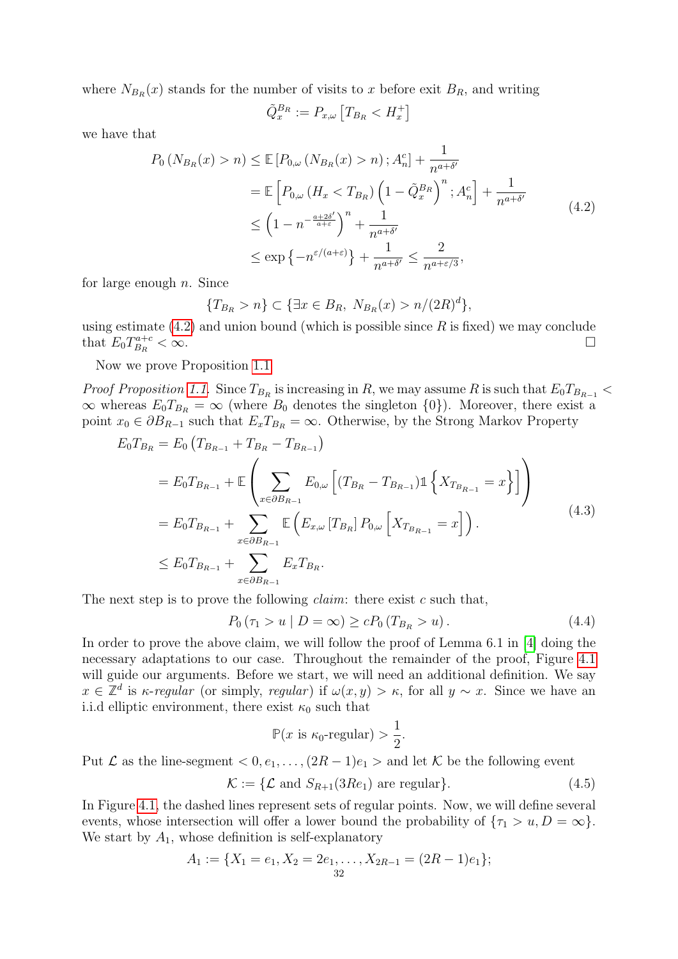where  $N_{B_R}(x)$  stands for the number of visits to x before exit  $B_R$ , and writing

$$
\tilde{Q}_x^{B_R} := P_{x,\omega} \left[ T_{B_R} < H_x^+ \right]
$$

<span id="page-31-0"></span>we have that

$$
P_0\left(N_{B_R}(x) > n\right) \le \mathbb{E}\left[P_{0,\omega}\left(N_{B_R}(x) > n\right); A_n^c\right] + \frac{1}{n^{a+\delta'}}
$$
  
\n
$$
= \mathbb{E}\left[P_{0,\omega}\left(H_x < T_{B_R}\right)\left(1 - \tilde{Q}_x^{B_R}\right)^n; A_n^c\right] + \frac{1}{n^{a+\delta'}}
$$
  
\n
$$
\le \left(1 - n^{-\frac{a+2\delta'}{a+\varepsilon}}\right)^n + \frac{1}{n^{a+\delta'}}
$$
  
\n
$$
\le \exp\left\{-n^{\varepsilon/(a+\varepsilon)}\right\} + \frac{1}{n^{a+\delta'}} \le \frac{2}{n^{a+\varepsilon/3}},
$$
\n(4.2)

for large enough  $n$ . Since

$$
\{T_{B_R} > n\} \subset \{\exists x \in B_R, \ N_{B_R}(x) > n/(2R)^d\},\
$$

using estimate  $(4.2)$  and union bound (which is possible since R is fixed) we may conclude that  $E_0 T_{B_R}^{a+c}$  $B_R$  $<\infty$ .

Now we prove Proposition [1.1](#page-5-2)

*Proof Proposition [1.1.](#page-5-2)* Since  $T_{B_R}$  is increasing in R, we may assume R is such that  $E_0T_{B_{R-1}}$  <  $\infty$  whereas  $E_0T_{B_R} = \infty$  (where  $B_0$  denotes the singleton  $\{0\}$ ). Moreover, there exist a point  $x_0 \in \partial B_{R-1}$  such that  $E_x T_{B_R} = \infty$ . Otherwise, by the Strong Markov Property

$$
E_0 T_{B_R} = E_0 (T_{B_{R-1}} + T_{B_R} - T_{B_{R-1}})
$$
  
\n
$$
= E_0 T_{B_{R-1}} + \mathbb{E} \left( \sum_{x \in \partial B_{R-1}} E_{0,\omega} \left[ (T_{B_R} - T_{B_{R-1}}) \mathbb{1} \left\{ X_{T_{B_{R-1}}} = x \right\} \right] \right)
$$
  
\n
$$
= E_0 T_{B_{R-1}} + \sum_{x \in \partial B_{R-1}} \mathbb{E} \left( E_{x,\omega} [T_{B_R}] P_{0,\omega} \left[ X_{T_{B_{R-1}}} = x \right] \right).
$$
  
\n
$$
\leq E_0 T_{B_{R-1}} + \sum_{x \in \partial B_{R-1}} E_x T_{B_R}.
$$
  
\n(4.3)

The next step is to prove the following *claim*: there exist c such that,

$$
P_0(\tau_1 > u \mid D = \infty) \ge c P_0(T_{B_R} > u). \tag{4.4}
$$

In order to prove the above claim, we will follow the proof of Lemma 6.1 in [\[4\]](#page-33-5) doing the necessary adaptations to our case. Throughout the remainder of the proof, Figure [4.1](#page-32-0) will guide our arguments. Before we start, we will need an additional definition. We say  $x \in \mathbb{Z}^d$  is *κ*-regular (or simply, regular) if  $\omega(x, y) > \kappa$ , for all  $y \sim x$ . Since we have an i.i.d elliptic environment, there exist  $\kappa_0$  such that

$$
\mathbb{P}(x \text{ is } \kappa_0\text{-regular}) > \frac{1}{2}.
$$

Put  $\mathcal L$  as the line-segment  $\langle 0, e_1, \ldots, (2R-1)e_1 \rangle$  and let  $\mathcal K$  be the following event

 $\mathcal{K} := \{ \mathcal{L} \text{ and } S_{R+1}(3Re_1) \text{ are regular} \}.$  (4.5)

In Figure [4.1,](#page-32-0) the dashed lines represent sets of regular points. Now, we will define several events, whose intersection will offer a lower bound the probability of  $\{\tau_1 > u, D = \infty\}.$ We start by  $A_1$ , whose definition is self-explanatory

$$
A_1 := \{X_1 = e_1, X_2 = 2e_1, \dots, X_{2R-1} = (2R-1)e_1\};
$$
  
<sub>32</sub>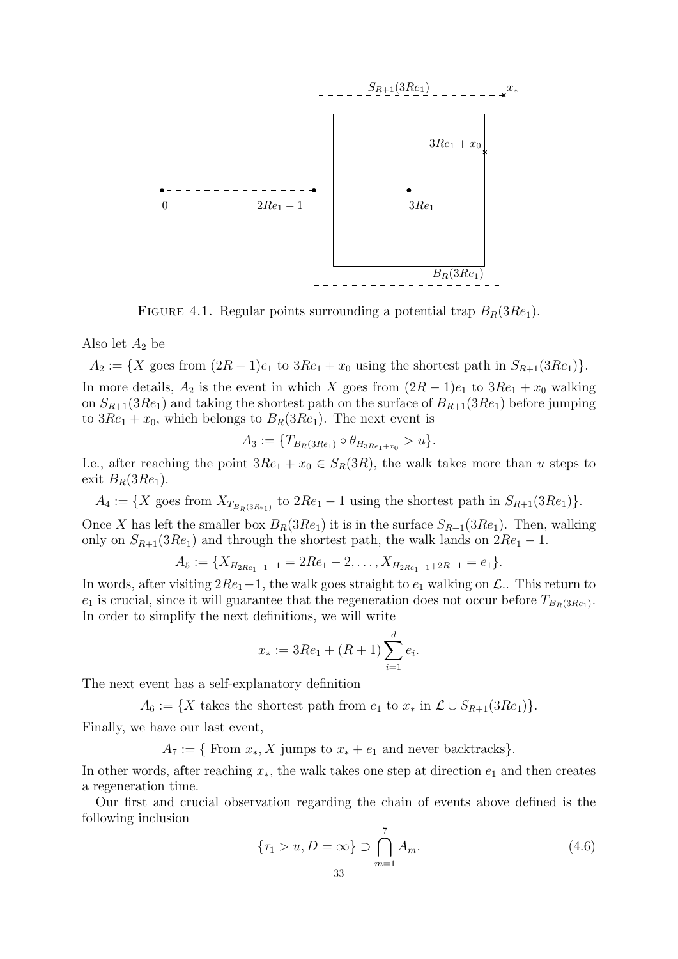

<span id="page-32-0"></span>FIGURE 4.1. Regular points surrounding a potential trap  $B_R(3Re_1)$ .

Also let  $A_2$  be

 $A_2 := \{X \text{ goes from } (2R-1)e_1 \text{ to } 3Re_1 + x_0 \text{ using the shortest path in } S_{R+1}(3Re_1)\}.$ In more details,  $A_2$  is the event in which X goes from  $(2R-1)e_1$  to  $3Re_1 + x_0$  walking on  $S_{R+1}(3Re_1)$  and taking the shortest path on the surface of  $B_{R+1}(3Re_1)$  before jumping to  $3Re_1 + x_0$ , which belongs to  $B_R(3Re_1)$ . The next event is

$$
A_3 := \{ T_{B_R(3Re_1)} \circ \theta_{H_{3Re_1+x_0}} > u \}.
$$

I.e., after reaching the point  $3Re_1 + x_0 \in S_R(3R)$ , the walk takes more than u steps to exit  $B_R(3Re_1)$ .

 $A_4 := \{X \text{ goes from } X_{T_{B_R(3Re_1)}} \text{ to } 2Re_1 - 1 \text{ using the shortest path in } S_{R+1}(3Re_1)\}.$ 

Once X has left the smaller box  $B_R(3Re_1)$  it is in the surface  $S_{R+1}(3Re_1)$ . Then, walking only on  $S_{R+1}(3Re_1)$  and through the shortest path, the walk lands on  $2Re_1 - 1$ .

$$
A_5 := \{X_{H_{2Re_1-1}+1} = 2Re_1 - 2, \ldots, X_{H_{2Re_1-1}+2R-1} = e_1\}.
$$

In words, after visiting  $2Re_1-1$ , the walk goes straight to  $e_1$  walking on  $\mathcal{L}$ . This return to  $e_1$  is crucial, since it will guarantee that the regeneration does not occur before  $T_{B_R(3Re_1)}$ . In order to simplify the next definitions, we will write

$$
x_* := 3Re_1 + (R+1) \sum_{i=1}^d e_i.
$$

The next event has a self-explanatory definition

 $A_6 := \{X \text{ takes the shortest path from } e_1 \text{ to } x_* \text{ in } \mathcal{L} \cup S_{R+1}(3Re_1)\}.$ 

Finally, we have our last event,

 $A_7 := \{$  From  $x_*, X$  jumps to  $x_* + e_1$  and never backtracks}.

In other words, after reaching  $x_*,$  the walk takes one step at direction  $e_1$  and then creates a regeneration time.

Our first and crucial observation regarding the chain of events above defined is the following inclusion

$$
\{\tau_1 > u, D = \infty\} \supset \bigcap_{m=1}^7 A_m.
$$
\n(4.6)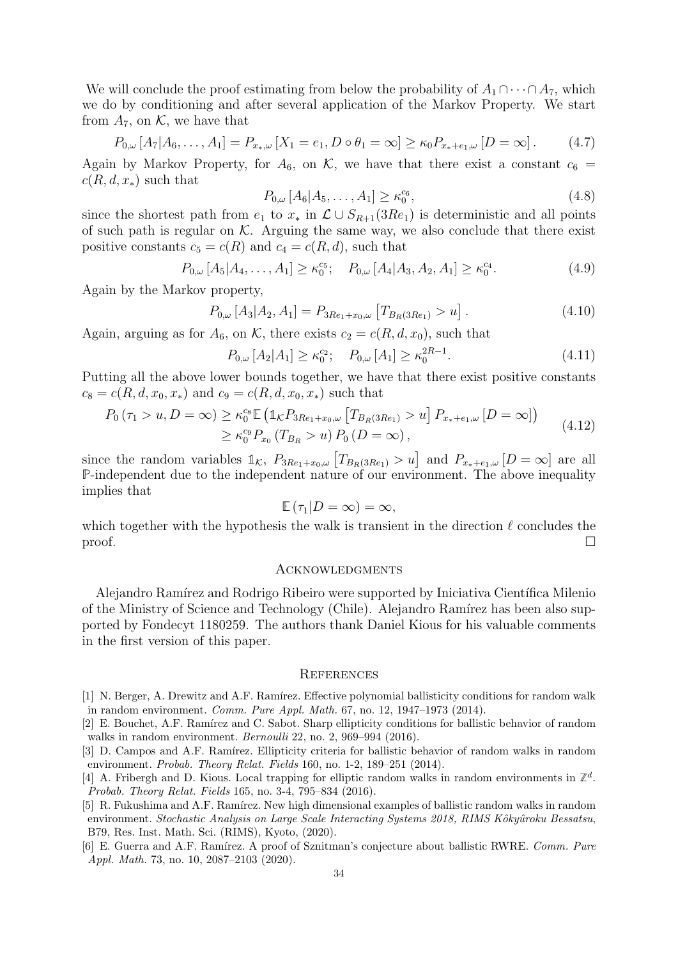We will conclude the proof estimating from below the probability of  $A_1 \cap \cdots \cap A_7$ , which we do by conditioning and after several application of the Markov Property. We start from  $A_7$ , on K, we have that

$$
P_{0,\omega}[A_7|A_6,\ldots,A_1] = P_{x_*,\omega}[X_1 = e_1, D \circ \theta_1 = \infty] \ge \kappa_0 P_{x_* + e_1,\omega}[D = \infty].
$$
 (4.7)

Again by Markov Property, for  $A_6$ , on K, we have that there exist a constant  $c_6 =$  $c(R, d, x_*)$  such that

$$
P_{0,\omega}[A_6|A_5,\ldots,A_1] \ge \kappa_0^{c_6},\tag{4.8}
$$

since the shortest path from  $e_1$  to  $x_*$  in  $\mathcal{L} \cup S_{R+1}(3Re_1)$  is deterministic and all points of such path is regular on  $K$ . Arguing the same way, we also conclude that there exist positive constants  $c_5 = c(R)$  and  $c_4 = c(R, d)$ , such that

$$
P_{0,\omega}[A_5|A_4,\ldots,A_1] \ge \kappa_0^{c_5}; \quad P_{0,\omega}[A_4|A_3,A_2,A_1] \ge \kappa_0^{c_4}.
$$
 (4.9)

Again by the Markov property,

$$
P_{0,\omega}[A_3|A_2,A_1] = P_{3Re_1+x_0,\omega}[T_{B_R(3Re_1)} > u]. \qquad (4.10)
$$

Again, arguing as for  $A_6$ , on K, there exists  $c_2 = c(R, d, x_0)$ , such that

$$
P_{0,\omega}[A_2|A_1] \ge \kappa_0^{c_2}; \quad P_{0,\omega}[A_1] \ge \kappa_0^{2R-1}.
$$
\n(4.11)

Putting all the above lower bounds together, we have that there exist positive constants  $c_8 = c(R, d, x_0, x_*)$  and  $c_9 = c(R, d, x_0, x_*)$  such that

$$
P_0(\tau_1 > u, D = \infty) \ge \kappa_0^{c_8} \mathbb{E} \left( \mathbb{1}_{\mathcal{K}} P_{3Re_1 + x_0, \omega} \left[ T_{B_R(3Re_1)} > u \right] P_{x_* + e_1, \omega} \left[ D = \infty \right] \right) \tag{4.12}
$$
  

$$
\ge \kappa_0^{c_9} P_{x_0} (T_{B_R} > u) P_0 (D = \infty),
$$

since the random variables  $\mathbb{1}_{\mathcal{K}}$ ,  $P_{3Re_1+x_0,\omega}$   $[T_{B_R(3Re_1)} > u]$  and  $P_{x_*+e_1,\omega}$   $[D = \infty]$  are all **P**-independent due to the independent nature of our environment. The above inequality implies that

$$
\mathbb{E}(\tau_1|D=\infty)=\infty,
$$

which together with the hypothesis the walk is transient in the direction  $\ell$  concludes the  $\Box$ 

#### **ACKNOWLEDGMENTS**

Alejandro Ramírez and Rodrigo Ribeiro were supported by Iniciativa Científica Milenio of the Ministry of Science and Technology (Chile). Alejandro Ramírez has been also supported by Fondecyt 1180259. The authors thank Daniel Kious for his valuable comments in the first version of this paper.

#### **REFERENCES**

- <span id="page-33-0"></span>[1] N. Berger, A. Drewitz and A.F. Ramírez. Effective polynomial ballisticity conditions for random walk in random environment. Comm. Pure Appl. Math. 67, no. 12, 1947–1973 (2014).
- <span id="page-33-4"></span>[2] E. Bouchet, A.F. Ramírez and C. Sabot. Sharp ellipticity conditions for ballistic behavior of random walks in random environment. *Bernoulli* 22, no. 2, 969–994 (2016).
- <span id="page-33-3"></span>[3] D. Campos and A.F. Ramírez. Ellipticity criteria for ballistic behavior of random walks in random environment. Probab. Theory Relat. Fields 160, no. 1-2, 189–251 (2014).
- <span id="page-33-5"></span>[4] A. Fribergh and D. Kious. Local trapping for elliptic random walks in random environments in  $\mathbb{Z}^d$ . Probab. Theory Relat. Fields 165, no. 3-4, 795–834 (2016).
- <span id="page-33-2"></span>[5] R. Fukushima and A.F. Ramírez. New high dimensional examples of ballistic random walks in random environment. Stochastic Analysis on Large Scale Interacting Systems 2018, RIMS Kôkyûroku Bessatsu, B79, Res. Inst. Math. Sci. (RIMS), Kyoto, (2020).
- <span id="page-33-1"></span>[6] E. Guerra and A.F. Ramírez. A proof of Sznitman's conjecture about ballistic RWRE. Comm. Pure Appl. Math. 73, no. 10, 2087–2103 (2020).